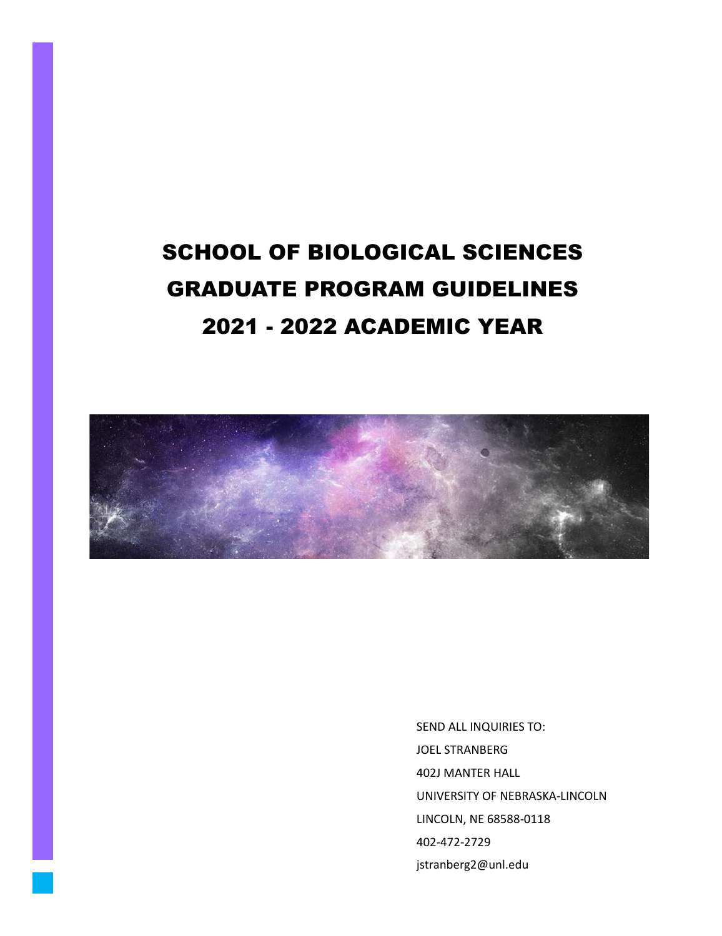# SCHOOL OF BIOLOGICAL SCIENCES GRADUATE PROGRAM GUIDELINES 2021 - 2022 ACADEMIC YEAR



SEND ALL INQUIRIES TO: JOEL STRANBERG 402J MANTER HALL UNIVERSITY OF NEBRASKA-LINCOLN LINCOLN, NE 68588-0118 402-472-2729 jstranberg2@unl.edu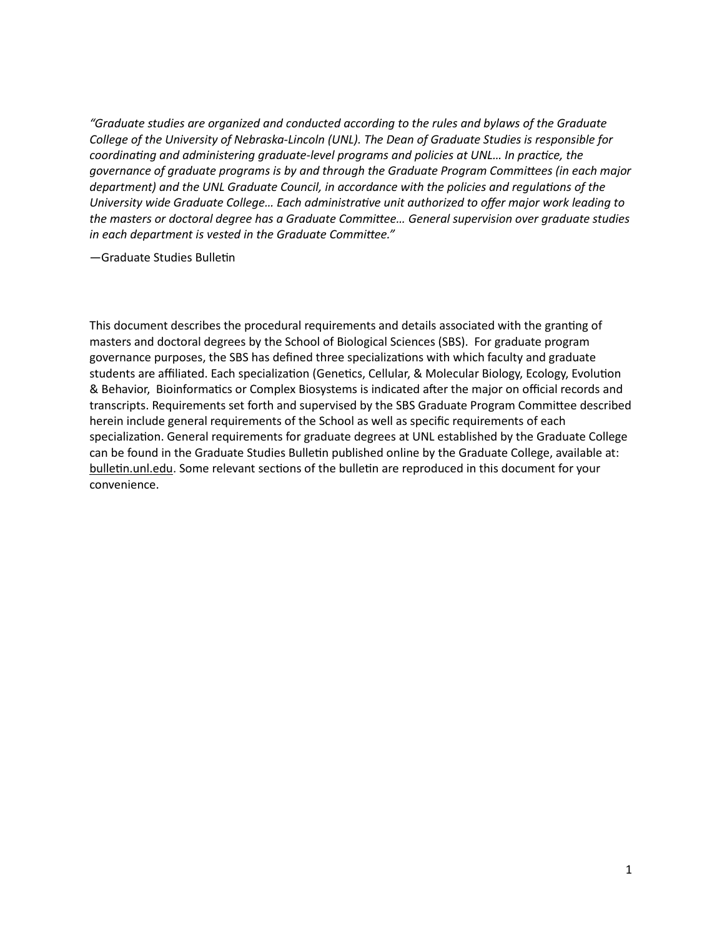*"Graduate studies are organized and conducted according to the rules and bylaws of the Graduate College of the University of Nebraska-Lincoln (UNL). The Dean of Graduate Studies is responsible for coordinating and administering graduate-level programs and policies at UNL… In practice, the governance of graduate programs is by and through the Graduate Program Committees (in each major department) and the UNL Graduate Council, in accordance with the policies and regulations of the University wide Graduate College… Each administrative unit authorized to offer major work leading to the masters or doctoral degree has a Graduate Committee… General supervision over graduate studies in each department is vested in the Graduate Committee."* 

—Graduate Studies Bulle�n

This document describes the procedural requirements and details associated with the granting of masters and doctoral degrees by the School of Biological Sciences (SBS). For graduate program governance purposes, the SBS has defined three specializations with which faculty and graduate students are affiliated. Each specialization (Genetics, Cellular, & Molecular Biology, Ecology, Evolution & Behavior, Bioinforma�cs or Complex Biosystems is indicated a�er the major on official records and transcripts. Requirements set forth and supervised by the SBS Graduate Program Commitee described herein include general requirements of the School as well as specific requirements of each specialization. General requirements for graduate degrees at UNL established by the Graduate College can be found in the Graduate Studies Bulletin published online by the Graduate College, available at: bulletin.unl.edu. Some relevant sections of the bulletin are reproduced in this document for your convenience.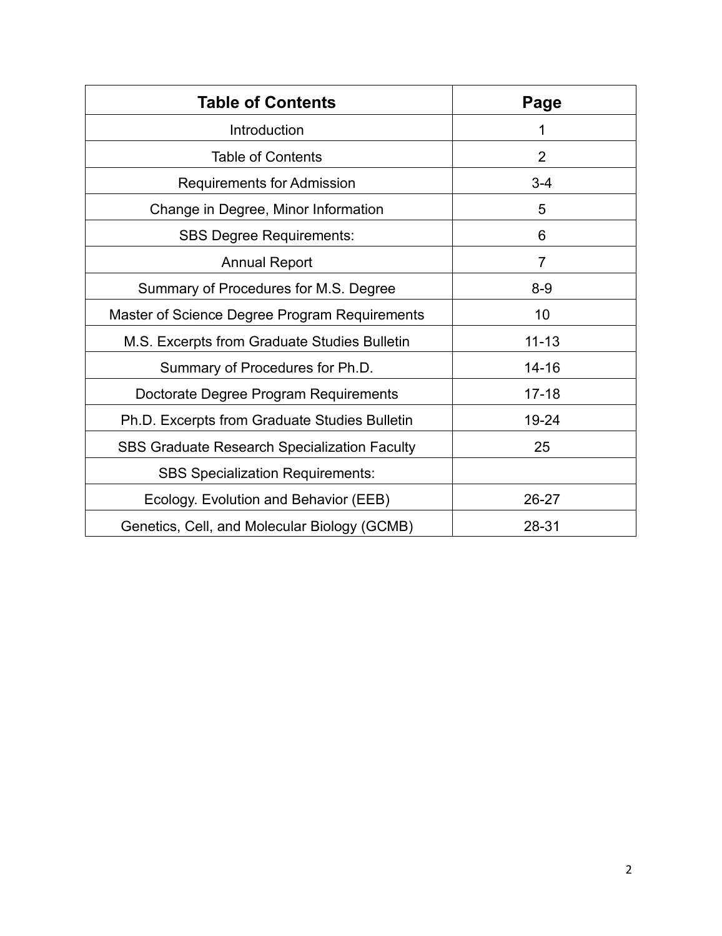| <b>Table of Contents</b>                            | Page           |
|-----------------------------------------------------|----------------|
| Introduction                                        |                |
| <b>Table of Contents</b>                            | $\overline{2}$ |
| <b>Requirements for Admission</b>                   | $3 - 4$        |
| Change in Degree, Minor Information                 | 5              |
| <b>SBS Degree Requirements:</b>                     | 6              |
| <b>Annual Report</b>                                | 7              |
| Summary of Procedures for M.S. Degree               | $8-9$          |
| Master of Science Degree Program Requirements       | 10             |
| M.S. Excerpts from Graduate Studies Bulletin        | $11 - 13$      |
| Summary of Procedures for Ph.D.                     | $14 - 16$      |
| Doctorate Degree Program Requirements               | $17 - 18$      |
| Ph.D. Excerpts from Graduate Studies Bulletin       | 19-24          |
| <b>SBS Graduate Research Specialization Faculty</b> | 25             |
| <b>SBS Specialization Requirements:</b>             |                |
| Ecology. Evolution and Behavior (EEB)               | 26-27          |
| Genetics, Cell, and Molecular Biology (GCMB)        | 28-31          |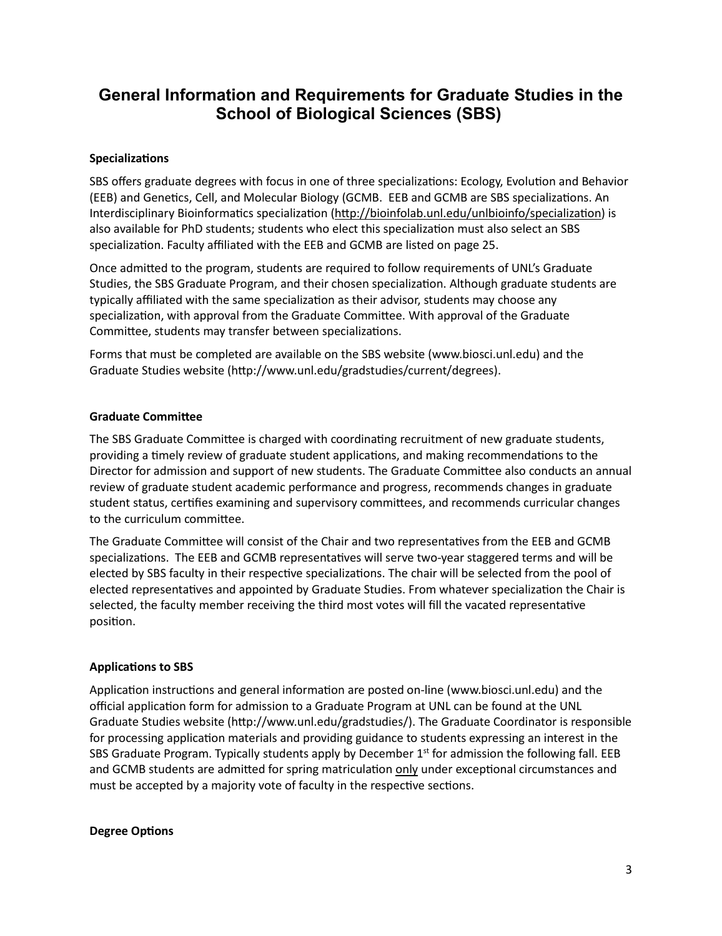## **General Information and Requirements for Graduate Studies in the School of Biological Sciences (SBS)**

## **Specializations**

SBS offers graduate degrees with focus in one of three specializations: Ecology, Evolution and Behavior (EEB) and Genetics, Cell, and Molecular Biology (GCMB. EEB and GCMB are SBS specializations. An Interdisciplinary Bioinformatics specialization (http://bioinfolab.unl.edu/unlbioinfo/specialization) is also available for PhD students; students who elect this specialization must also select an SBS specialization. Faculty affiliated with the EEB and GCMB are listed on page 25.

Once admited to the program, students are required to follow requirements of UNL's Graduate Studies, the SBS Graduate Program, and their chosen specialization. Although graduate students are typically affiliated with the same specialization as their advisor, students may choose any specialization, with approval from the Graduate Committee. With approval of the Graduate Committee, students may transfer between specializations.

Forms that must be completed are available on the SBS website ([www.biosci.unl.edu](http://www.biosci.unl.edu/)) and the Graduate Studies website (htp://www.unl.edu/gradstudies/current/degrees).

## **Graduate Commitee**

The SBS Graduate Committee is charged with coordinating recruitment of new graduate students, providing a timely review of graduate student applications, and making recommendations to the Director for admission and support of new students. The Graduate Commitee also conducts an annual review of graduate student academic performance and progress, recommends changes in graduate student status, certifies examining and supervisory committees, and recommends curricular changes to the curriculum commitee.

The Graduate Committee will consist of the Chair and two representatives from the EEB and GCMB specializations. The EEB and GCMB representatives will serve two-year staggered terms and will be elected by SBS faculty in their respective specializations. The chair will be selected from the pool of elected representatives and appointed by Graduate Studies. From whatever specialization the Chair is selected, the faculty member receiving the third most votes will fill the vacated representative position.

## **Applications to SBS**

Application instructions and general information are posted on-line ([www.biosci.unl.edu](http://www.biosci.unl.edu/)) and the official application form for admission to a Graduate Program at UNL can be found at the UNL Graduate Studies website [\(htp://www.unl.edu/gradstudies/\)](http://www.unl.edu/gradstudies/). The Graduate Coordinator is responsible for processing application materials and providing guidance to students expressing an interest in the SBS Graduate Program. Typically students apply by December  $1<sup>st</sup>$  for admission the following fall. EEB and GCMB students are admitted for spring matriculation only under exceptional circumstances and must be accepted by a majority vote of faculty in the respective sections.

#### **Degree Options**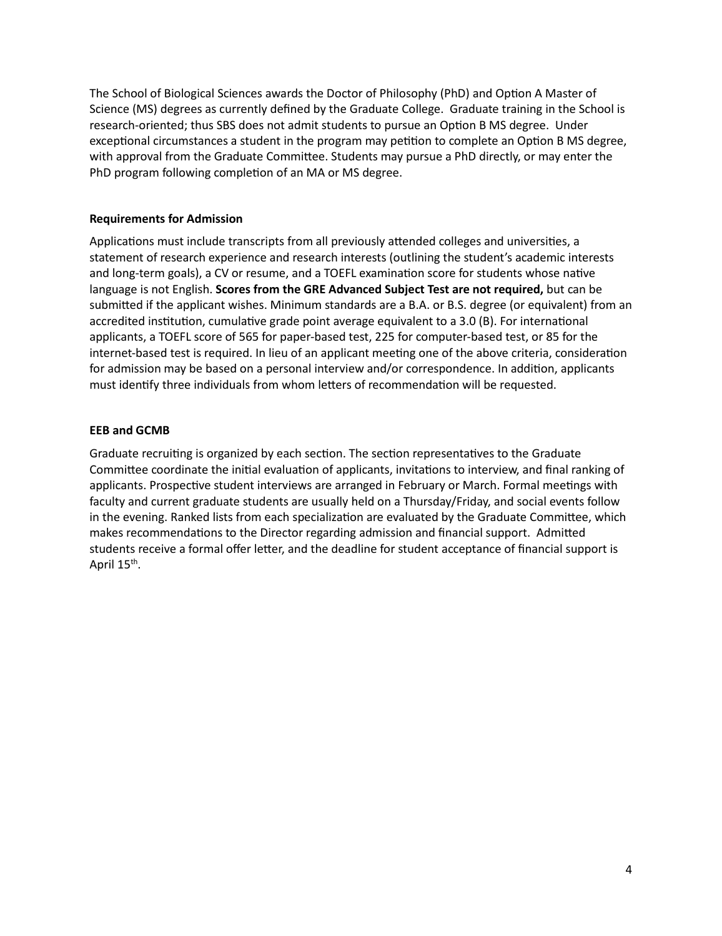The School of Biological Sciences awards the Doctor of Philosophy (PhD) and Option A Master of Science (MS) degrees as currently defined by the Graduate College. Graduate training in the School is research-oriented; thus SBS does not admit students to pursue an Option B MS degree. Under exceptional circumstances a student in the program may petition to complete an Option B MS degree, with approval from the Graduate Committee. Students may pursue a PhD directly, or may enter the PhD program following completion of an MA or MS degree.

## **Requirements for Admission**

Applications must include transcripts from all previously attended colleges and universities, a statement of research experience and research interests (outlining the student's academic interests and long-term goals), a CV or resume, and a TOEFL examination score for students whose native language is not English. **Scores from the GRE Advanced Subject Test are not required,** but can be submited if the applicant wishes. Minimum standards are a B.A. or B.S. degree (or equivalent) from an accredited institution, cumulative grade point average equivalent to a 3.0 (B). For international applicants, a TOEFL score of 565 for paper-based test, 225 for computer-based test, or 85 for the internet-based test is required. In lieu of an applicant meeting one of the above criteria, consideration for admission may be based on a personal interview and/or correspondence. In addition, applicants must identify three individuals from whom letters of recommendation will be requested.

## **EEB and GCMB**

Graduate recruiting is organized by each section. The section representatives to the Graduate Committee coordinate the initial evaluation of applicants, invitations to interview, and final ranking of applicants. Prospective student interviews are arranged in February or March. Formal meetings with faculty and current graduate students are usually held on a Thursday/Friday, and social events follow in the evening. Ranked lists from each specialization are evaluated by the Graduate Committee, which makes recommendations to the Director regarding admission and financial support. Admitted students receive a formal offer letter, and the deadline for student acceptance of financial support is April 15<sup>th</sup>.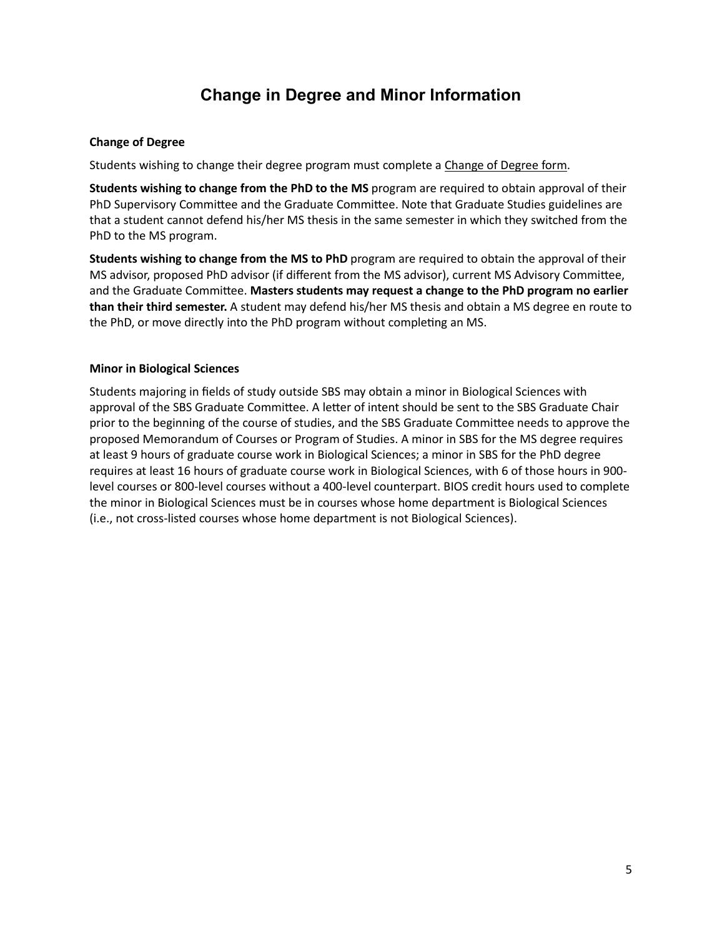## **Change in Degree and Minor Information**

## **Change of Degree**

Students wishing to change their degree program must complete a [Change of Degree form](http://biosci.unl.edu/current-students).

**Students wishing to change from the PhD to the MS** program are required to obtain approval of their PhD Supervisory Commitee and the Graduate Commitee. Note that Graduate Studies guidelines are that a student cannot defend his/her MS thesis in the same semester in which they switched from the PhD to the MS program.

**Students wishing to change from the MS to PhD** program are required to obtain the approval of their MS advisor, proposed PhD advisor (if different from the MS advisor), current MS Advisory Commitee, and the Graduate Commitee. **Masters students may request a change to the PhD program no earlier than their third semester.** A student may defend his/her MS thesis and obtain a MS degree en route to the PhD, or move directly into the PhD program without completing an MS.

## **Minor in Biological Sciences**

Students majoring in fields of study outside SBS may obtain a minor in Biological Sciences with approval of the SBS Graduate Committee. A letter of intent should be sent to the SBS Graduate Chair prior to the beginning of the course of studies, and the SBS Graduate Commitee needs to approve the proposed Memorandum of Courses or Program of Studies. A minor in SBS for the MS degree requires at least 9 hours of graduate course work in Biological Sciences; a minor in SBS for the PhD degree requires at least 16 hours of graduate course work in Biological Sciences, with 6 of those hours in 900 level courses or 800-level courses without a 400-level counterpart. BIOS credit hours used to complete the minor in Biological Sciences must be in courses whose home department is Biological Sciences (i.e., not cross-listed courses whose home department is not Biological Sciences).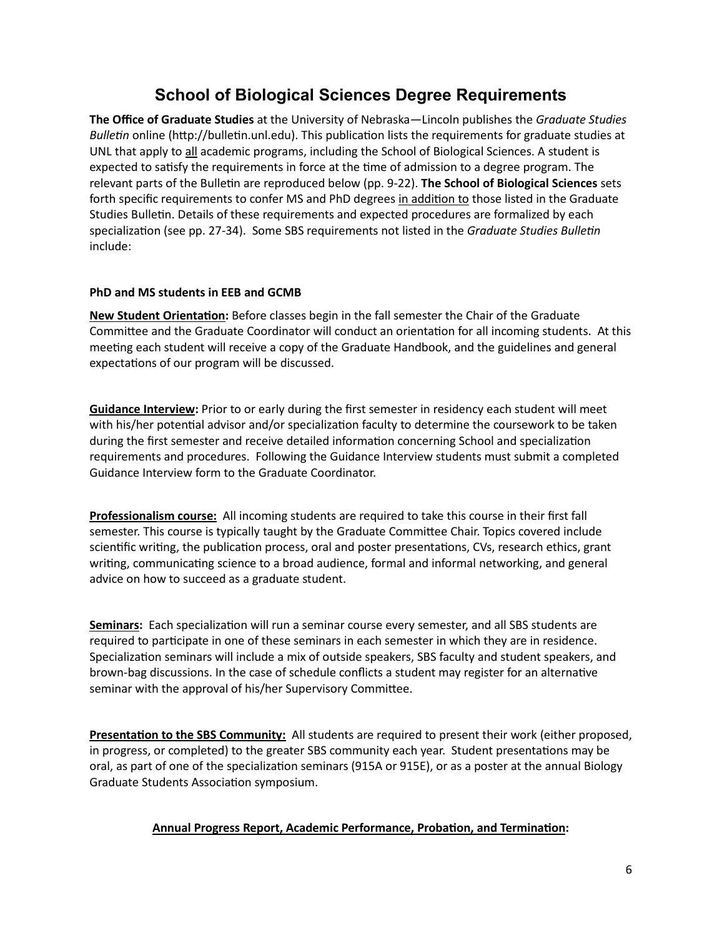## **School of Biological Sciences Degree Requirements**

**The Office of Graduate Studies** at the University of Nebraska—Lincoln publishes the *Graduate Studies Bulletin* online (http://bulletin.unl.edu). This publication lists the requirements for graduate studies at UNL that apply to all academic programs, including the School of Biological Sciences. A student is expected to satisfy the requirements in force at the time of admission to a degree program. The relevant parts of the Bulletin are reproduced below (pp. 9-22). **The School of Biological Sciences** sets forth specific requirements to confer MS and PhD degrees in addition to those listed in the Graduate Studies Bulletin. Details of these requirements and expected procedures are formalized by each specialization (see pp. 27-34). Some SBS requirements not listed in the *Graduate Studies Bulletin* include:

## **PhD and MS students in EEB and GCMB**

**New Student Orientation:** Before classes begin in the fall semester the Chair of the Graduate Committee and the Graduate Coordinator will conduct an orientation for all incoming students. At this meeting each student will receive a copy of the Graduate Handbook, and the guidelines and general expectations of our program will be discussed.

**Guidance Interview:** Prior to or early during the first semester in residency each student will meet with his/her potential advisor and/or specialization faculty to determine the coursework to be taken during the first semester and receive detailed information concerning School and specialization requirements and procedures. Following the Guidance Interview students must submit a completed Guidance Interview form to the Graduate Coordinator.

**Professionalism course:** All incoming students are required to take this course in their first fall semester. This course is typically taught by the Graduate Commitee Chair. Topics covered include scientific writing, the publication process, oral and poster presentations, CVs, research ethics, grant writing, communicating science to a broad audience, formal and informal networking, and general advice on how to succeed as a graduate student.

**Seminars:** Each specialization will run a seminar course every semester, and all SBS students are required to participate in one of these seminars in each semester in which they are in residence. Specialization seminars will include a mix of outside speakers, SBS faculty and student speakers, and brown-bag discussions. In the case of schedule conflicts a student may register for an alternative seminar with the approval of his/her Supervisory Commitee.

**Presentation to the SBS Community:** All students are required to present their work (either proposed, in progress, or completed) to the greater SBS community each year. Student presentations may be oral, as part of one of the specialization seminars (915A or 915E), or as a poster at the annual Biology Graduate Students Association symposium.

## **Annual Progress Report, Academic Performance, Probation, and Termination:**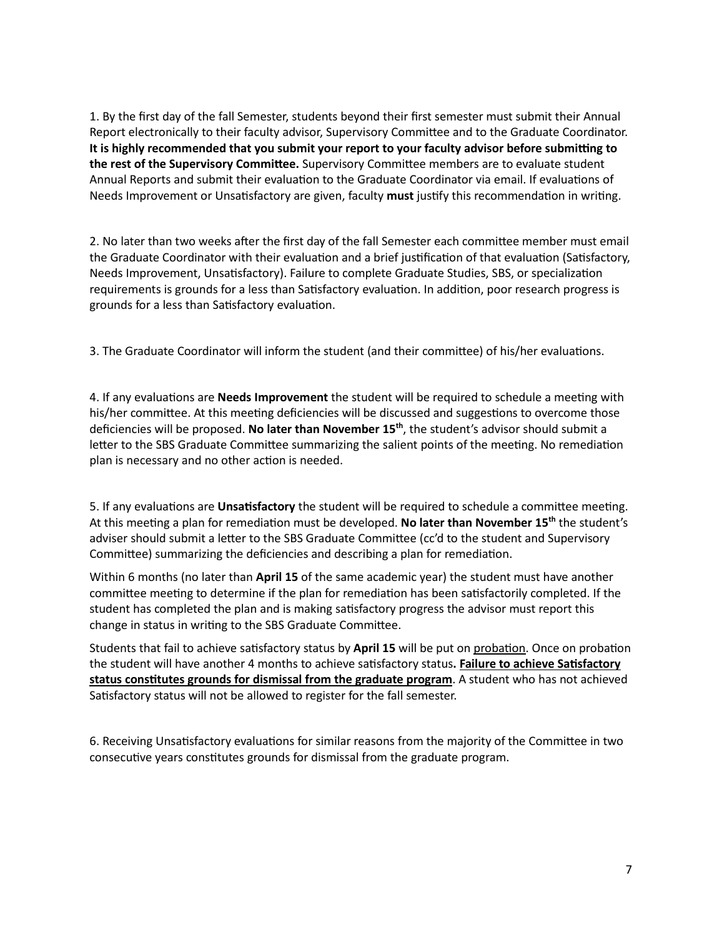1. By the first day of the fall Semester, students beyond their first semester must submit their Annual Report electronically to their faculty advisor, Supervisory Commitee and to the Graduate Coordinator. It is highly recommended that you submit your report to your faculty advisor before submitting to **the rest of the Supervisory Commitee.** Supervisory Commitee members are to evaluate student Annual Reports and submit their evaluation to the Graduate Coordinator via email. If evaluations of Needs Improvement or Unsatisfactory are given, faculty must justify this recommendation in writing.

2. No later than two weeks after the first day of the fall Semester each committee member must email the Graduate Coordinator with their evaluation and a brief justification of that evaluation (Satisfactory, Needs Improvement, Unsatisfactory). Failure to complete Graduate Studies, SBS, or specialization requirements is grounds for a less than Satisfactory evaluation. In addition, poor research progress is grounds for a less than Satisfactory evaluation.

3. The Graduate Coordinator will inform the student (and their committee) of his/her evaluations.

4. If any evaluations are **Needs Improvement** the student will be required to schedule a meeting with his/her committee. At this meeting deficiencies will be discussed and suggestions to overcome those deficiencies will be proposed. **No later than November 15th**, the student's advisor should submit a letter to the SBS Graduate Committee summarizing the salient points of the meeting. No remediation plan is necessary and no other action is needed.

5. If any evaluations are Unsatisfactory the student will be required to schedule a committee meeting. At this meeting a plan for remediation must be developed. **No later than November 15<sup>th</sup>** the student's adviser should submit a letter to the SBS Graduate Committee (cc'd to the student and Supervisory Commitee) summarizing the deficiencies and describing a plan for remedia�on.

Within 6 months (no later than **April 15** of the same academic year) the student must have another committee meeting to determine if the plan for remediation has been satisfactorily completed. If the student has completed the plan and is making satisfactory progress the advisor must report this change in status in writing to the SBS Graduate Committee.

Students that fail to achieve satisfactory status by April 15 will be put on probation. Once on probation the student will have another 4 months to achieve satisfactory status. Failure to achieve Satisfactory **status constitutes grounds for dismissal from the graduate program**. A student who has not achieved Satisfactory status will not be allowed to register for the fall semester.

6. Receiving Unsatisfactory evaluations for similar reasons from the majority of the Committee in two consecutive years constitutes grounds for dismissal from the graduate program.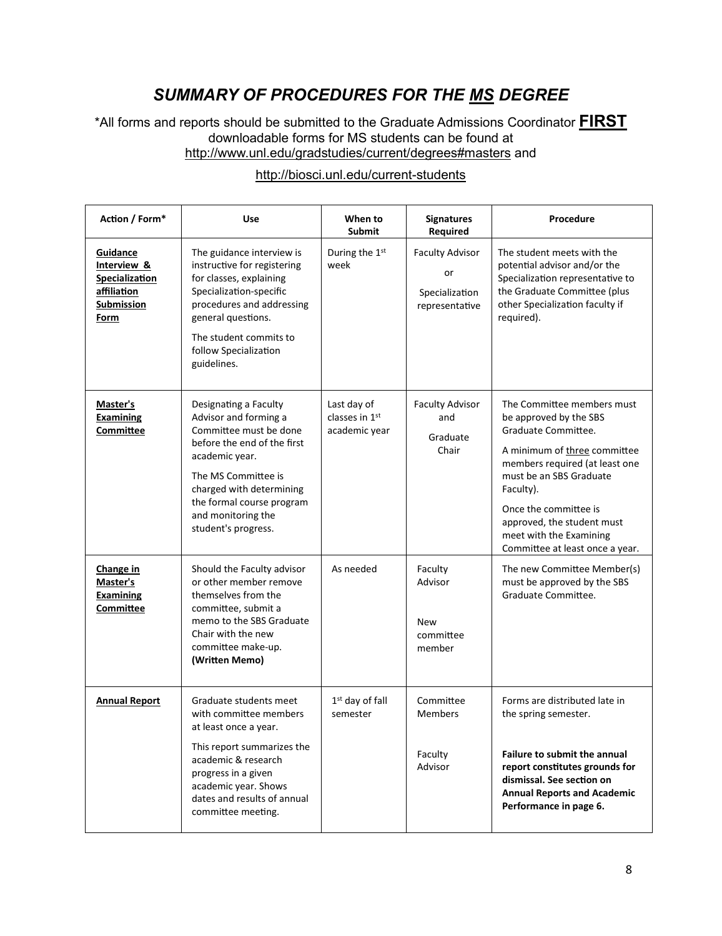## *SUMMARY OF PROCEDURES FOR THE MS DEGREE*

\*All forms and reports should be submitted to the Graduate Admissions Coordinator **FIRST** downloadable forms for MS students can be found at <http://www.unl.edu/gradstudies/current/degrees#masters> and

| Action / Form*                                                                        | <b>Use</b>                                                                                                                                                                                                                                             | When to<br><b>Submit</b>                       | <b>Signatures</b><br>Required                                    | Procedure                                                                                                                                                                                                                                                                                                  |
|---------------------------------------------------------------------------------------|--------------------------------------------------------------------------------------------------------------------------------------------------------------------------------------------------------------------------------------------------------|------------------------------------------------|------------------------------------------------------------------|------------------------------------------------------------------------------------------------------------------------------------------------------------------------------------------------------------------------------------------------------------------------------------------------------------|
| Guidance<br>Interview &<br>Specialization<br>affiliation<br><b>Submission</b><br>Form | The guidance interview is<br>instructive for registering<br>for classes, explaining<br>Specialization-specific<br>procedures and addressing<br>general questions.<br>The student commits to<br>follow Specialization<br>guidelines.                    | During the 1st<br>week                         | <b>Faculty Advisor</b><br>or<br>Specialization<br>representative | The student meets with the<br>potential advisor and/or the<br>Specialization representative to<br>the Graduate Committee (plus<br>other Specialization faculty if<br>required).                                                                                                                            |
| <b>Master's</b><br>Examining<br>Committee                                             | Designating a Faculty<br>Advisor and forming a<br>Committee must be done<br>before the end of the first<br>academic year.<br>The MS Committee is<br>charged with determining<br>the formal course program<br>and monitoring the<br>student's progress. | Last day of<br>classes in 1st<br>academic year | <b>Faculty Advisor</b><br>and<br>Graduate<br>Chair               | The Committee members must<br>be approved by the SBS<br>Graduate Committee.<br>A minimum of three committee<br>members required (at least one<br>must be an SBS Graduate<br>Faculty).<br>Once the committee is<br>approved, the student must<br>meet with the Examining<br>Committee at least once a year. |
| Change in<br>Master's<br>Examining<br>Committee                                       | Should the Faculty advisor<br>or other member remove<br>themselves from the<br>committee, submit a<br>memo to the SBS Graduate<br>Chair with the new<br>committee make-up.<br>(Written Memo)                                                           | As needed                                      | Faculty<br>Advisor<br><b>New</b><br>committee<br>member          | The new Committee Member(s)<br>must be approved by the SBS<br>Graduate Committee.                                                                                                                                                                                                                          |
| <b>Annual Report</b>                                                                  | Graduate students meet<br>with committee members<br>at least once a year.<br>This report summarizes the<br>academic & research<br>progress in a given<br>academic year. Shows<br>dates and results of annual<br>committee meeting.                     | 1 <sup>st</sup> day of fall<br>semester        | Committee<br><b>Members</b><br>Faculty<br>Advisor                | Forms are distributed late in<br>the spring semester.<br><b>Failure to submit the annual</b><br>report constitutes grounds for<br>dismissal. See section on<br><b>Annual Reports and Academic</b><br>Performance in page 6.                                                                                |

## <http://biosci.unl.edu/current-students>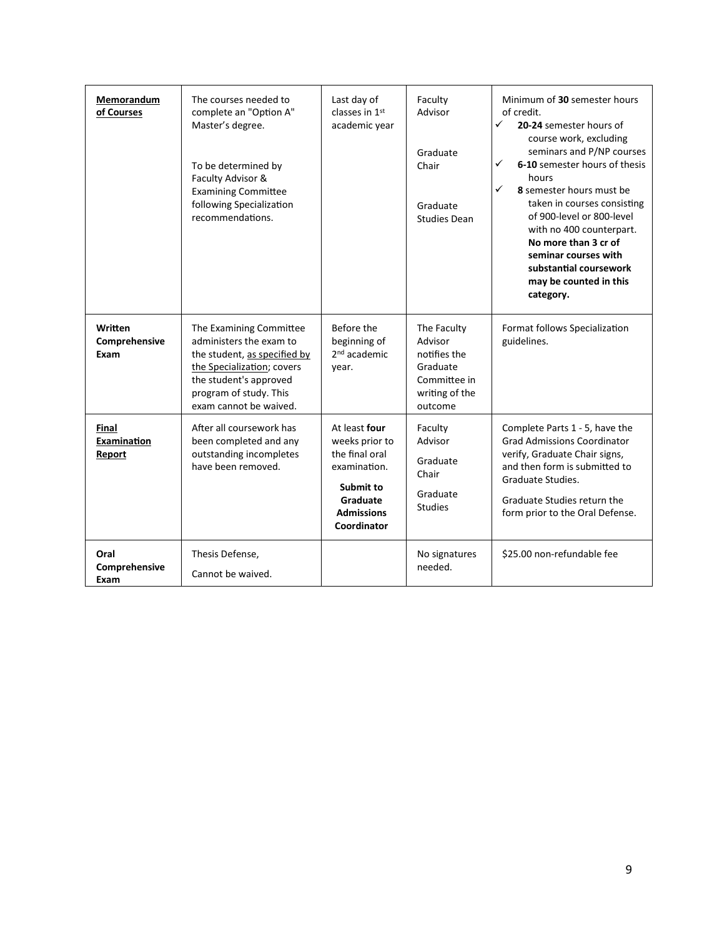| Memorandum<br>of Courses         | The courses needed to<br>complete an "Option A"<br>Master's degree.<br>To be determined by<br>Faculty Advisor &<br><b>Examining Committee</b><br>following Specialization<br>recommendations.  | Last day of<br>classes in 1 <sup>st</sup><br>academic year                                                                     | Faculty<br>Advisor<br>Graduate<br>Chair<br>Graduate<br><b>Studies Dean</b>                      | Minimum of 30 semester hours<br>of credit.<br>✓<br>20-24 semester hours of<br>course work, excluding<br>seminars and P/NP courses<br>6-10 semester hours of thesis<br>✓<br>hours<br>✓<br>8 semester hours must be<br>taken in courses consisting<br>of 900-level or 800-level<br>with no 400 counterpart.<br>No more than 3 cr of<br>seminar courses with<br>substantial coursework<br>may be counted in this<br>category. |
|----------------------------------|------------------------------------------------------------------------------------------------------------------------------------------------------------------------------------------------|--------------------------------------------------------------------------------------------------------------------------------|-------------------------------------------------------------------------------------------------|----------------------------------------------------------------------------------------------------------------------------------------------------------------------------------------------------------------------------------------------------------------------------------------------------------------------------------------------------------------------------------------------------------------------------|
| Written<br>Comprehensive<br>Exam | The Examining Committee<br>administers the exam to<br>the student, as specified by<br>the Specialization; covers<br>the student's approved<br>program of study. This<br>exam cannot be waived. | Before the<br>beginning of<br>2 <sup>nd</sup> academic<br>year.                                                                | The Faculty<br>Advisor<br>notifies the<br>Graduate<br>Committee in<br>writing of the<br>outcome | Format follows Specialization<br>guidelines.                                                                                                                                                                                                                                                                                                                                                                               |
| Final<br>Examination<br>Report   | After all coursework has<br>been completed and any<br>outstanding incompletes<br>have been removed.                                                                                            | At least four<br>weeks prior to<br>the final oral<br>examination.<br>Submit to<br>Graduate<br><b>Admissions</b><br>Coordinator | Faculty<br>Advisor<br>Graduate<br>Chair<br>Graduate<br><b>Studies</b>                           | Complete Parts 1 - 5, have the<br><b>Grad Admissions Coordinator</b><br>verify, Graduate Chair signs,<br>and then form is submitted to<br>Graduate Studies.<br>Graduate Studies return the<br>form prior to the Oral Defense.                                                                                                                                                                                              |
| Oral<br>Comprehensive<br>Exam    | Thesis Defense,<br>Cannot be waived.                                                                                                                                                           |                                                                                                                                | No signatures<br>needed.                                                                        | \$25.00 non-refundable fee                                                                                                                                                                                                                                                                                                                                                                                                 |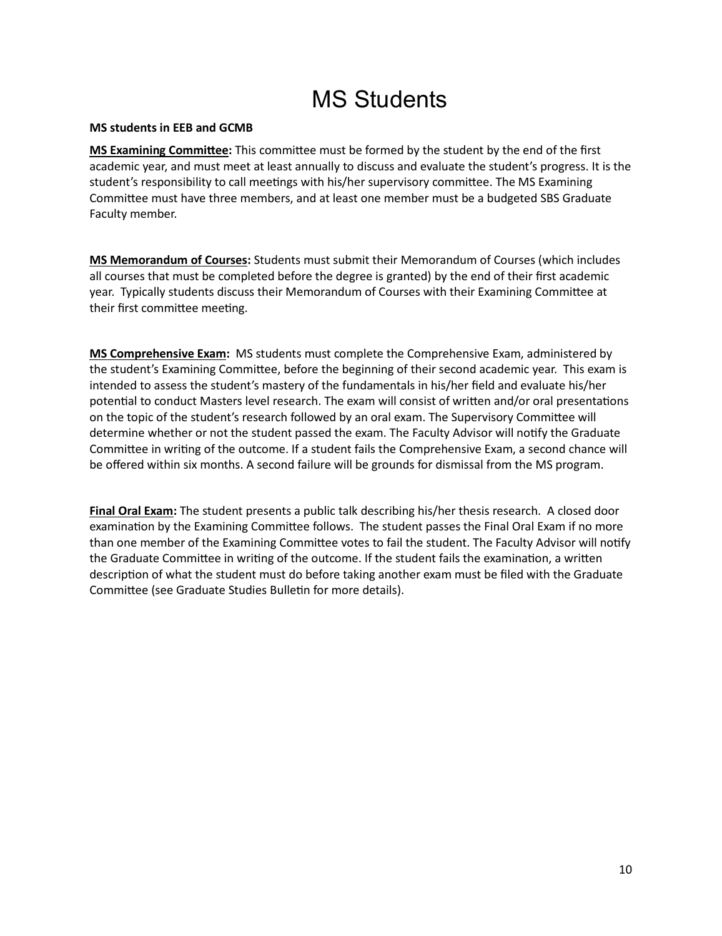# MS Students

## **MS students in EEB and GCMB**

**MS Examining Commitee:** This commitee must be formed by the student by the end of the first academic year, and must meet at least annually to discuss and evaluate the student's progress. It is the student's responsibility to call meetings with his/her supervisory committee. The MS Examining Commitee must have three members, and at least one member must be a budgeted SBS Graduate Faculty member.

**MS Memorandum of Courses:** Students must submit their Memorandum of Courses (which includes all courses that must be completed before the degree is granted) by the end of their first academic year. Typically students discuss their Memorandum of Courses with their Examining Commitee at their first committee meeting.

**MS Comprehensive Exam:** MS students must complete the Comprehensive Exam, administered by the student's Examining Commitee, before the beginning of their second academic year. This exam is intended to assess the student's mastery of the fundamentals in his/her field and evaluate his/her potential to conduct Masters level research. The exam will consist of written and/or oral presentations on the topic of the student's research followed by an oral exam. The Supervisory Commitee will determine whether or not the student passed the exam. The Faculty Advisor will notify the Graduate Committee in writing of the outcome. If a student fails the Comprehensive Exam, a second chance will be offered within six months. A second failure will be grounds for dismissal from the MS program.

**Final Oral Exam:** The student presents a public talk describing his/her thesis research. A closed door examination by the Examining Committee follows. The student passes the Final Oral Exam if no more than one member of the Examining Committee votes to fail the student. The Faculty Advisor will notify the Graduate Committee in writing of the outcome. If the student fails the examination, a written description of what the student must do before taking another exam must be filed with the Graduate Committee (see Graduate Studies Bulletin for more details).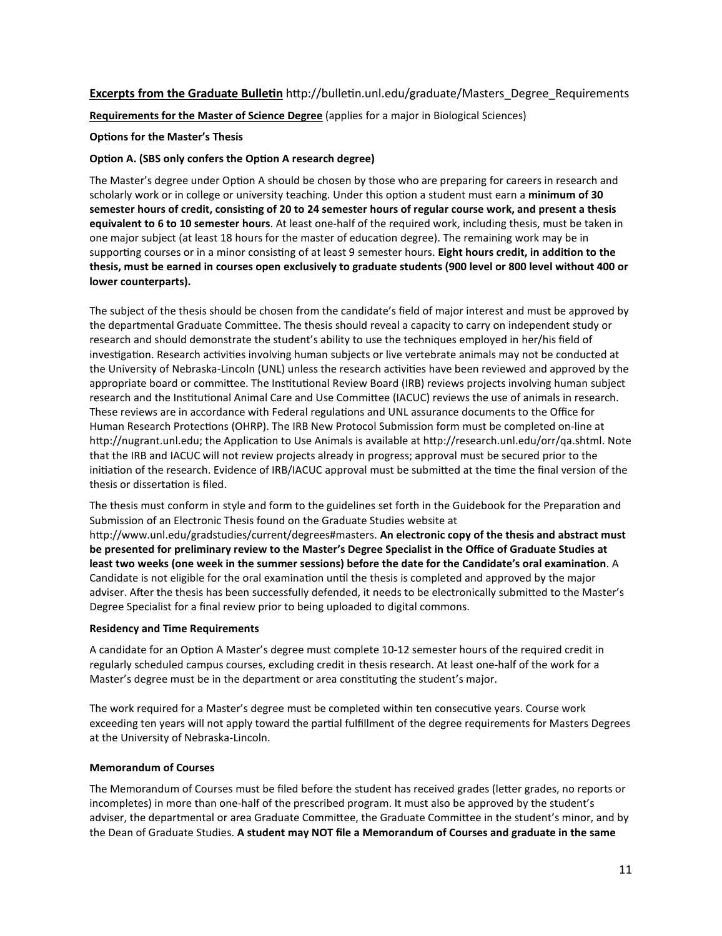## **Excerpts from the Graduate Bulletin** http://bulletin.unl.edu/graduate/Masters\_Degree\_Requirements

**Requirements for the Master of Science Degree** (applies for a major in Biological Sciences)

**Options for the Master's Thesis** 

#### **Option A. (SBS only confers the Option A research degree)**

The Master's degree under Option A should be chosen by those who are preparing for careers in research and scholarly work or in college or university teaching. Under this option a student must earn a *minimum of 30* semester hours of credit, consisting of 20 to 24 semester hours of regular course work, and present a thesis **equivalent to 6 to 10 semester hours**. At least one-half of the required work, including thesis, must be taken in one major subject (at least 18 hours for the master of education degree). The remaining work may be in supporting courses or in a minor consisting of at least 9 semester hours. **Eight hours credit, in addition to the thesis, must be earned in courses open exclusively to graduate students (900 level or 800 level without 400 or lower counterparts).**

The subject of the thesis should be chosen from the candidate's field of major interest and must be approved by the departmental Graduate Commitee. The thesis should reveal a capacity to carry on independent study or research and should demonstrate the student's ability to use the techniques employed in her/his field of investigation. Research activities involving human subjects or live vertebrate animals may not be conducted at the University of Nebraska-Lincoln (UNL) unless the research activities have been reviewed and approved by the appropriate board or committee. The Institutional Review Board (IRB) reviews projects involving human subject research and the Institutional Animal Care and Use Committee (IACUC) reviews the use of animals in research. These reviews are in accordance with Federal regulations and UNL assurance documents to the Office for Human Research Protections (OHRP). The IRB New Protocol Submission form must be completed on-line at http://nugrant.unl.edu; the Application to Use Animals is available at http://research.unl.edu/orr/qa.shtml. Note that the IRB and IACUC will not review projects already in progress; approval must be secured prior to the initiation of the research. Evidence of IRB/IACUC approval must be submitted at the time the final version of the thesis or dissertation is filed.

The thesis must conform in style and form to the guidelines set forth in the Guidebook for the Preparation and Submission of an Electronic Thesis found on the Graduate Studies website at

[htp://www.unl.edu/gradstudies/current/degrees#masters](http://www.unl.edu/gradstudies/current/degrees#masters). **An electronic copy of the thesis and abstract must be presented for preliminary review to the Master's Degree Specialist in the Office of Graduate Studies at least two weeks (one week in the summer sessions) before the date for the Candidate's oral examina�on**. A Candidate is not eligible for the oral examination until the thesis is completed and approved by the major adviser. After the thesis has been successfully defended, it needs to be electronically submitted to the Master's Degree Specialist for a final review prior to being uploaded to digital commons.

#### **Residency and Time Requirements**

A candidate for an Option A Master's degree must complete 10-12 semester hours of the required credit in regularly scheduled campus courses, excluding credit in thesis research. At least one-half of the work for a Master's degree must be in the department or area constituting the student's major.

The work required for a Master's degree must be completed within ten consecutive years. Course work exceeding ten years will not apply toward the par�al fulfillment of the degree requirements for Masters Degrees at the University of Nebraska-Lincoln.

#### **Memorandum of Courses**

The Memorandum of Courses must be filed before the student has received grades (leter grades, no reports or incompletes) in more than one-half of the prescribed program. It must also be approved by the student's adviser, the departmental or area Graduate Commitee, the Graduate Commitee in the student's minor, and by the Dean of Graduate Studies. **A student may NOT file a Memorandum of Courses and graduate in the same**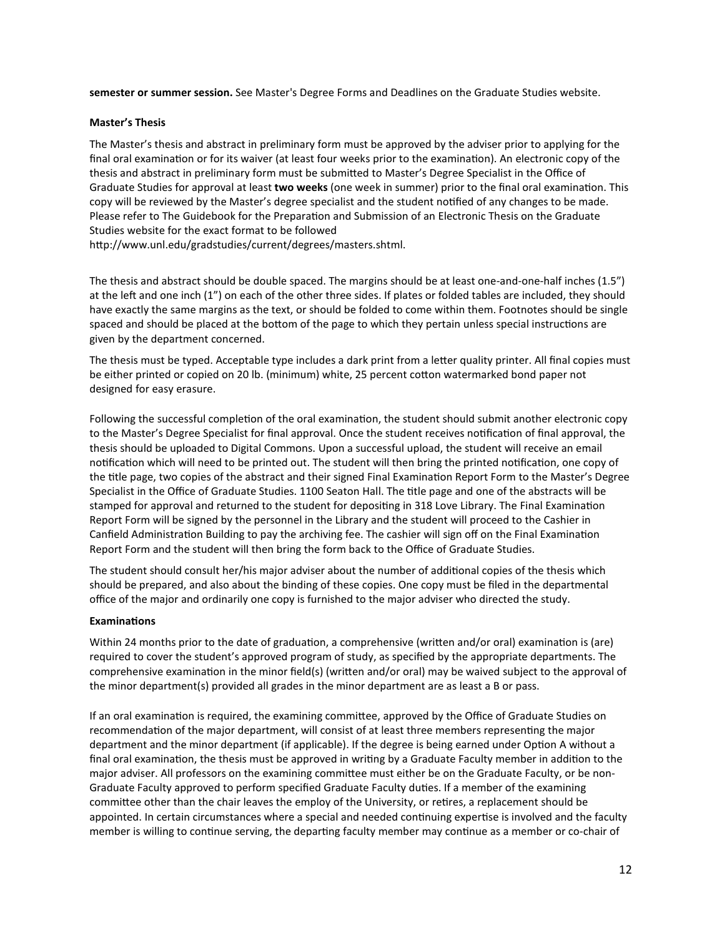**semester or summer session.** See Master's Degree Forms and Deadlines on the Graduate Studies website.

#### **Master's Thesis**

The Master's thesis and abstract in preliminary form must be approved by the adviser prior to applying for the final oral examination or for its waiver (at least four weeks prior to the examination). An electronic copy of the thesis and abstract in preliminary form must be submited to Master's Degree Specialist in the Office of Graduate Studies for approval at least two weeks (one week in summer) prior to the final oral examination. This copy will be reviewed by the Master's degree specialist and the student notified of any changes to be made. Please refer to The Guidebook for the Preparation and Submission of an Electronic Thesis on the Graduate Studies website for the exact format to be followed

htp://www.unl.edu/gradstudies/current/degrees/masters.shtml.

The thesis and abstract should be double spaced. The margins should be at least one-and-one-half inches (1.5") at the left and one inch (1") on each of the other three sides. If plates or folded tables are included, they should have exactly the same margins as the text, or should be folded to come within them. Footnotes should be single spaced and should be placed at the bottom of the page to which they pertain unless special instructions are given by the department concerned.

The thesis must be typed. Acceptable type includes a dark print from a leter quality printer. All final copies must be either printed or copied on 20 lb. (minimum) white, 25 percent coton watermarked bond paper not designed for easy erasure.

Following the successful completion of the oral examination, the student should submit another electronic copy to the Master's Degree Specialist for final approval. Once the student receives notification of final approval, the thesis should be uploaded to Digital Commons. Upon a successful upload, the student will receive an email notification which will need to be printed out. The student will then bring the printed notification, one copy of the title page, two copies of the abstract and their signed Final Examination Report Form to the Master's Degree Specialist in the Office of Graduate Studies. 1100 Seaton Hall. The title page and one of the abstracts will be stamped for approval and returned to the student for depositing in 318 Love Library. The Final Examination Report Form will be signed by the personnel in the Library and the student will proceed to the Cashier in Canfield Administration Building to pay the archiving fee. The cashier will sign off on the Final Examination Report Form and the student will then bring the form back to the Office of Graduate Studies.

The student should consult her/his major adviser about the number of additional copies of the thesis which should be prepared, and also about the binding of these copies. One copy must be filed in the departmental office of the major and ordinarily one copy is furnished to the major adviser who directed the study.

#### **Examinations**

Within 24 months prior to the date of graduation, a comprehensive (written and/or oral) examination is (are) required to cover the student's approved program of study, as specified by the appropriate departments. The comprehensive examination in the minor field(s) (written and/or oral) may be waived subject to the approval of the minor department(s) provided all grades in the minor department are as least a B or pass.

If an oral examination is required, the examining committee, approved by the Office of Graduate Studies on recommendation of the major department, will consist of at least three members representing the major department and the minor department (if applicable). If the degree is being earned under Option A without a final oral examination, the thesis must be approved in writing by a Graduate Faculty member in addition to the major adviser. All professors on the examining commitee must either be on the Graduate Faculty, or be non-Graduate Faculty approved to perform specified Graduate Faculty duties. If a member of the examining committee other than the chair leaves the employ of the University, or retires, a replacement should be appointed. In certain circumstances where a special and needed continuing expertise is involved and the faculty member is willing to continue serving, the departing faculty member may continue as a member or co-chair of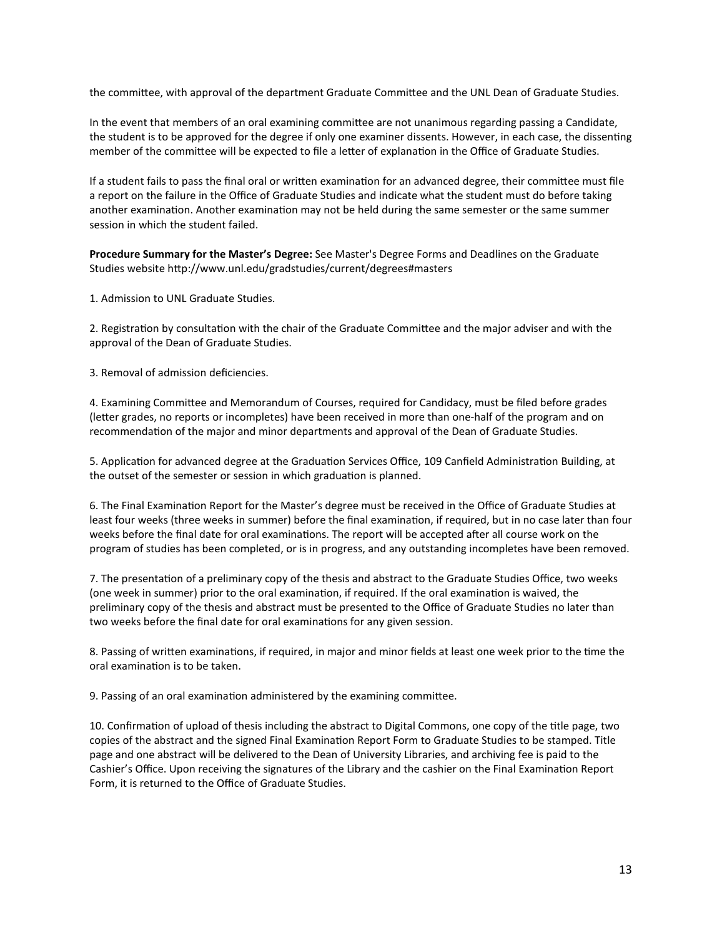the commitee, with approval of the department Graduate Commitee and the UNL Dean of Graduate Studies.

In the event that members of an oral examining commitee are not unanimous regarding passing a Candidate, the student is to be approved for the degree if only one examiner dissents. However, in each case, the dissenting member of the committee will be expected to file a letter of explanation in the Office of Graduate Studies.

If a student fails to pass the final oral or written examination for an advanced degree, their committee must file a report on the failure in the Office of Graduate Studies and indicate what the student must do before taking another examination. Another examination may not be held during the same semester or the same summer session in which the student failed.

**Procedure Summary for the Master's Degree:** See Master's Degree Forms and Deadlines on the Graduate Studies website [htp://www.unl.edu/gradstudies/current/degrees#masters](http://www.unl.edu/gradstudies/current/degrees#masters)

1. Admission to UNL Graduate Studies.

2. Registration by consultation with the chair of the Graduate Committee and the major adviser and with the approval of the Dean of Graduate Studies.

3. Removal of admission deficiencies.

4. Examining Commitee and Memorandum of Courses, required for Candidacy, must be filed before grades (leter grades, no reports or incompletes) have been received in more than one-half of the program and on recommendation of the major and minor departments and approval of the Dean of Graduate Studies.

5. Application for advanced degree at the Graduation Services Office, 109 Canfield Administration Building, at the outset of the semester or session in which graduation is planned.

6. The Final Examination Report for the Master's degree must be received in the Office of Graduate Studies at least four weeks (three weeks in summer) before the final examination, if required, but in no case later than four weeks before the final date for oral examinations. The report will be accepted after all course work on the program of studies has been completed, or is in progress, and any outstanding incompletes have been removed.

7. The presentation of a preliminary copy of the thesis and abstract to the Graduate Studies Office, two weeks (one week in summer) prior to the oral examination, if required. If the oral examination is waived, the preliminary copy of the thesis and abstract must be presented to the Office of Graduate Studies no later than two weeks before the final date for oral examinations for any given session.

8. Passing of written examinations, if required, in major and minor fields at least one week prior to the time the oral examination is to be taken.

9. Passing of an oral examination administered by the examining committee.

10. Confirmation of upload of thesis including the abstract to Digital Commons, one copy of the title page, two copies of the abstract and the signed Final Examination Report Form to Graduate Studies to be stamped. Title page and one abstract will be delivered to the Dean of University Libraries, and archiving fee is paid to the Cashier's Office. Upon receiving the signatures of the Library and the cashier on the Final Examination Report Form, it is returned to the Office of Graduate Studies.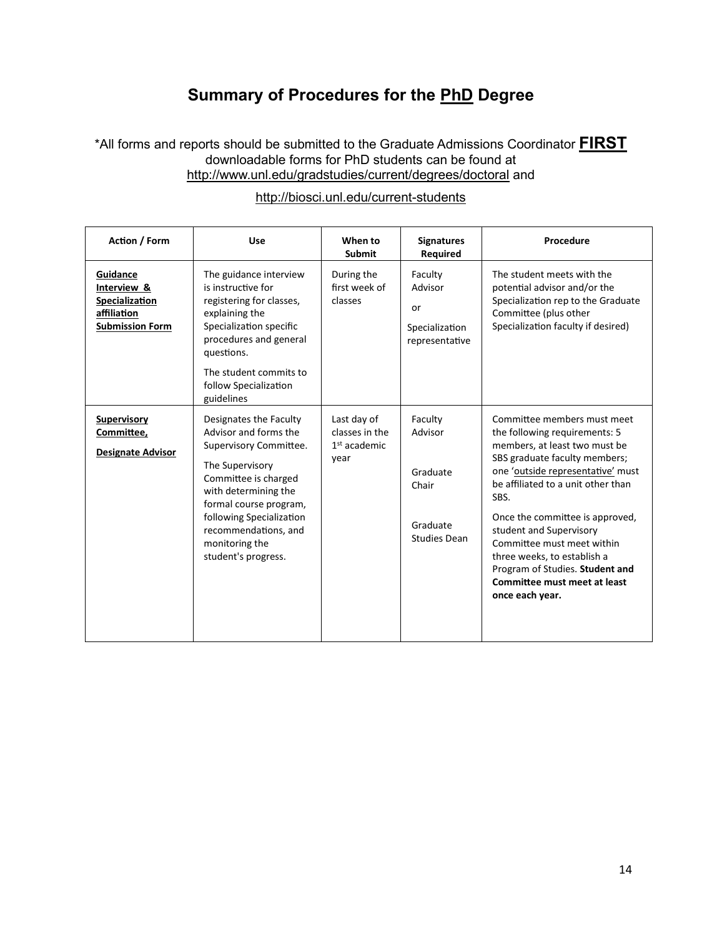## **Summary of Procedures for the PhD Degree**

## \*All forms and reports should be submitted to the Graduate Admissions Coordinator **FIRST** downloadable forms for PhD students can be found at <http://www.unl.edu/gradstudies/current/degrees/doctoral> and

| Action / Form                                                                             | Use                                                                                                                                                                                                                                                                 | When to<br><b>Submit</b>                                | <b>Signatures</b><br><b>Required</b>                                       | Procedure                                                                                                                                                                                                                                                                                                                                                                                                                          |
|-------------------------------------------------------------------------------------------|---------------------------------------------------------------------------------------------------------------------------------------------------------------------------------------------------------------------------------------------------------------------|---------------------------------------------------------|----------------------------------------------------------------------------|------------------------------------------------------------------------------------------------------------------------------------------------------------------------------------------------------------------------------------------------------------------------------------------------------------------------------------------------------------------------------------------------------------------------------------|
| Guidance<br>Interview &<br><b>Specialization</b><br>affiliation<br><b>Submission Form</b> | The guidance interview<br>is instructive for<br>registering for classes,<br>explaining the<br>Specialization specific<br>procedures and general<br>questions.<br>The student commits to<br>follow Specialization<br>guidelines                                      | During the<br>first week of<br>classes                  | Faculty<br>Advisor<br>or<br>Specialization<br>representative               | The student meets with the<br>potential advisor and/or the<br>Specialization rep to the Graduate<br>Committee (plus other<br>Specialization faculty if desired)                                                                                                                                                                                                                                                                    |
| <b>Supervisory</b><br>Committee,<br><b>Designate Advisor</b>                              | Designates the Faculty<br>Advisor and forms the<br>Supervisory Committee.<br>The Supervisory<br>Committee is charged<br>with determining the<br>formal course program,<br>following Specialization<br>recommendations, and<br>monitoring the<br>student's progress. | Last day of<br>classes in the<br>$1st$ academic<br>year | Faculty<br>Advisor<br>Graduate<br>Chair<br>Graduate<br><b>Studies Dean</b> | Committee members must meet<br>the following requirements: 5<br>members, at least two must be<br>SBS graduate faculty members;<br>one 'outside representative' must<br>be affiliated to a unit other than<br>SBS.<br>Once the committee is approved.<br>student and Supervisory<br>Committee must meet within<br>three weeks, to establish a<br>Program of Studies. Student and<br>Committee must meet at least<br>once each year. |

## <http://biosci.unl.edu/current-students>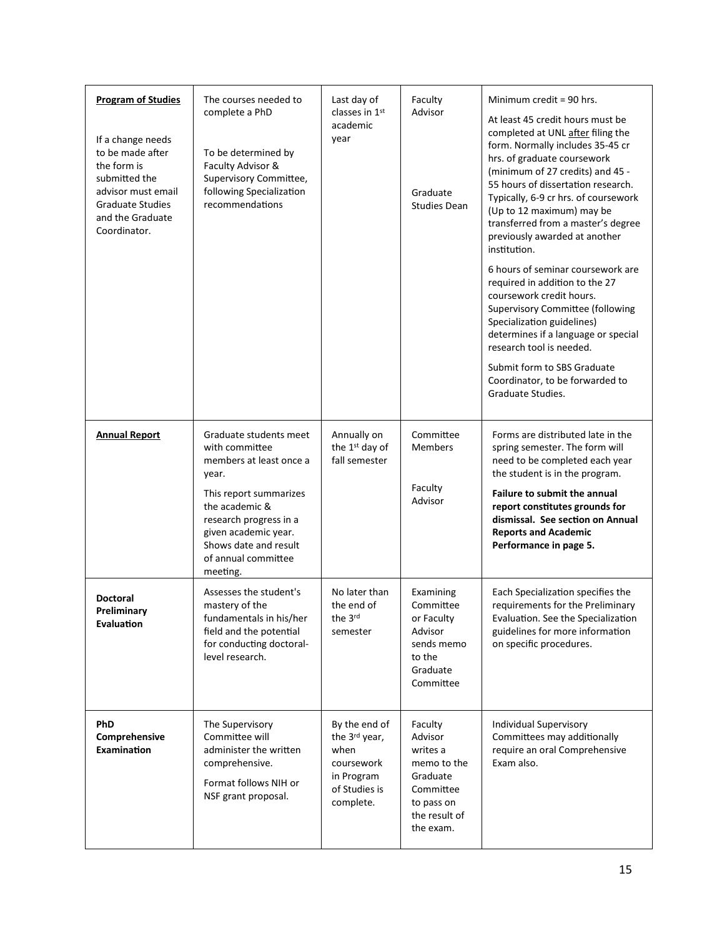| <b>Program of Studies</b><br>If a change needs<br>to be made after<br>the form is<br>submitted the<br>advisor must email<br><b>Graduate Studies</b><br>and the Graduate<br>Coordinator. | The courses needed to<br>complete a PhD<br>To be determined by<br>Faculty Advisor &<br>Supervisory Committee,<br>following Specialization<br>recommendations                                                                           | Last day of<br>classes in 1st<br>academic<br>year                                                | Faculty<br>Advisor<br>Graduate<br><b>Studies Dean</b>                                                              | Minimum credit = 90 hrs.<br>At least 45 credit hours must be<br>completed at UNL after filing the<br>form. Normally includes 35-45 cr<br>hrs. of graduate coursework<br>(minimum of 27 credits) and 45 -<br>55 hours of dissertation research.<br>Typically, 6-9 cr hrs. of coursework<br>(Up to 12 maximum) may be<br>transferred from a master's degree<br>previously awarded at another<br>institution.<br>6 hours of seminar coursework are<br>required in addition to the 27<br>coursework credit hours.<br><b>Supervisory Committee (following</b><br>Specialization guidelines)<br>determines if a language or special<br>research tool is needed.<br>Submit form to SBS Graduate<br>Coordinator, to be forwarded to<br>Graduate Studies. |
|-----------------------------------------------------------------------------------------------------------------------------------------------------------------------------------------|----------------------------------------------------------------------------------------------------------------------------------------------------------------------------------------------------------------------------------------|--------------------------------------------------------------------------------------------------|--------------------------------------------------------------------------------------------------------------------|--------------------------------------------------------------------------------------------------------------------------------------------------------------------------------------------------------------------------------------------------------------------------------------------------------------------------------------------------------------------------------------------------------------------------------------------------------------------------------------------------------------------------------------------------------------------------------------------------------------------------------------------------------------------------------------------------------------------------------------------------|
| <b>Annual Report</b>                                                                                                                                                                    | Graduate students meet<br>with committee<br>members at least once a<br>year.<br>This report summarizes<br>the academic &<br>research progress in a<br>given academic year.<br>Shows date and result<br>of annual committee<br>meeting. | Annually on<br>the 1 <sup>st</sup> day of<br>fall semester                                       | Committee<br><b>Members</b><br>Faculty<br>Advisor                                                                  | Forms are distributed late in the<br>spring semester. The form will<br>need to be completed each year<br>the student is in the program.<br><b>Failure to submit the annual</b><br>report constitutes grounds for<br>dismissal. See section on Annual<br><b>Reports and Academic</b><br>Performance in page 5.                                                                                                                                                                                                                                                                                                                                                                                                                                    |
| <b>Doctoral</b><br>Preliminary<br><b>Evaluation</b>                                                                                                                                     | Assesses the student's<br>mastery of the<br>fundamentals in his/her<br>field and the potential<br>for conducting doctoral-<br>level research.                                                                                          | No later than<br>the end of<br>the 3rd<br>semester                                               | Examining<br>Committee<br>or Faculty<br>Advisor<br>sends memo<br>to the<br>Graduate<br>Committee                   | Each Specialization specifies the<br>requirements for the Preliminary<br>Evaluation. See the Specialization<br>guidelines for more information<br>on specific procedures.                                                                                                                                                                                                                                                                                                                                                                                                                                                                                                                                                                        |
| <b>PhD</b><br>Comprehensive<br>Examination                                                                                                                                              | The Supervisory<br>Committee will<br>administer the written<br>comprehensive.<br>Format follows NIH or<br>NSF grant proposal.                                                                                                          | By the end of<br>the 3rd year,<br>when<br>coursework<br>in Program<br>of Studies is<br>complete. | Faculty<br>Advisor<br>writes a<br>memo to the<br>Graduate<br>Committee<br>to pass on<br>the result of<br>the exam. | Individual Supervisory<br>Committees may additionally<br>require an oral Comprehensive<br>Exam also.                                                                                                                                                                                                                                                                                                                                                                                                                                                                                                                                                                                                                                             |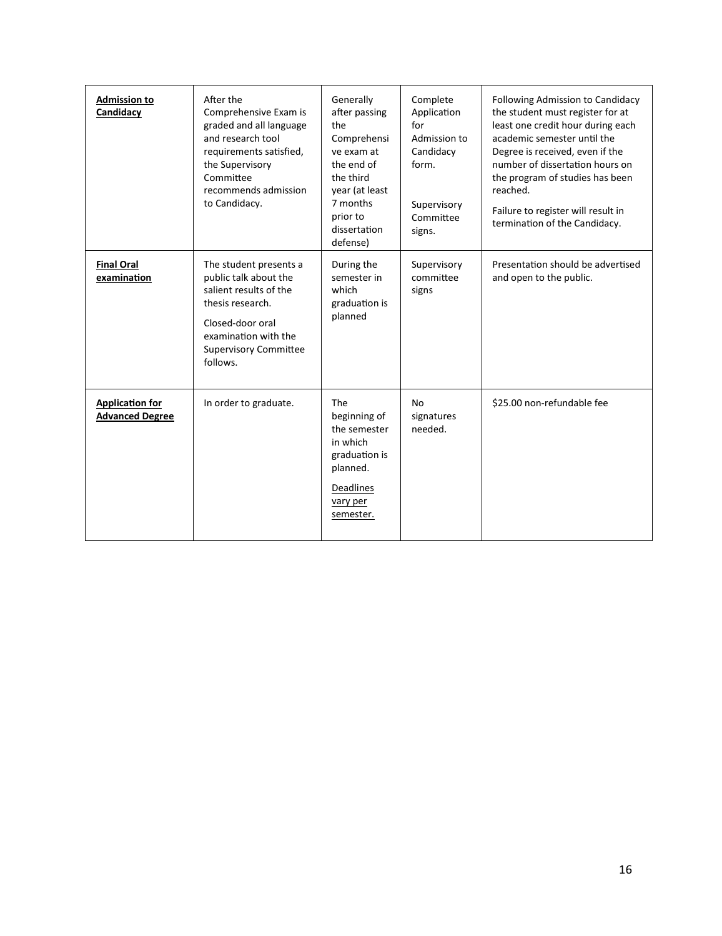| <b>Admission to</b><br>Candidacy                 | After the<br>Comprehensive Exam is<br>graded and all language<br>and research tool<br>requirements satisfied,<br>the Supervisory<br>Committee<br>recommends admission<br>to Candidacy. | Generally<br>after passing<br>the<br>Comprehensi<br>ve exam at<br>the end of<br>the third<br>year (at least<br>7 months<br>prior to<br>dissertation | Complete<br>Application<br>for<br>Admission to<br>Candidacy<br>form.<br>Supervisory<br>Committee<br>signs. | Following Admission to Candidacy<br>the student must register for at<br>least one credit hour during each<br>academic semester until the<br>Degree is received, even if the<br>number of dissertation hours on<br>the program of studies has been<br>reached.<br>Failure to register will result in<br>termination of the Candidacy. |
|--------------------------------------------------|----------------------------------------------------------------------------------------------------------------------------------------------------------------------------------------|-----------------------------------------------------------------------------------------------------------------------------------------------------|------------------------------------------------------------------------------------------------------------|--------------------------------------------------------------------------------------------------------------------------------------------------------------------------------------------------------------------------------------------------------------------------------------------------------------------------------------|
| <b>Final Oral</b><br>examination                 | The student presents a<br>public talk about the<br>salient results of the<br>thesis research.<br>Closed-door oral<br>examination with the<br><b>Supervisory Committee</b><br>follows.  | defense)<br>During the<br>semester in<br>which<br>graduation is<br>planned                                                                          | Supervisory<br>committee<br>signs                                                                          | Presentation should be advertised<br>and open to the public.                                                                                                                                                                                                                                                                         |
| <b>Application for</b><br><b>Advanced Degree</b> | In order to graduate.                                                                                                                                                                  | <b>The</b><br>beginning of<br>the semester<br>in which<br>graduation is<br>planned.<br>Deadlines<br>vary per<br>semester.                           | <b>No</b><br>signatures<br>needed.                                                                         | \$25.00 non-refundable fee                                                                                                                                                                                                                                                                                                           |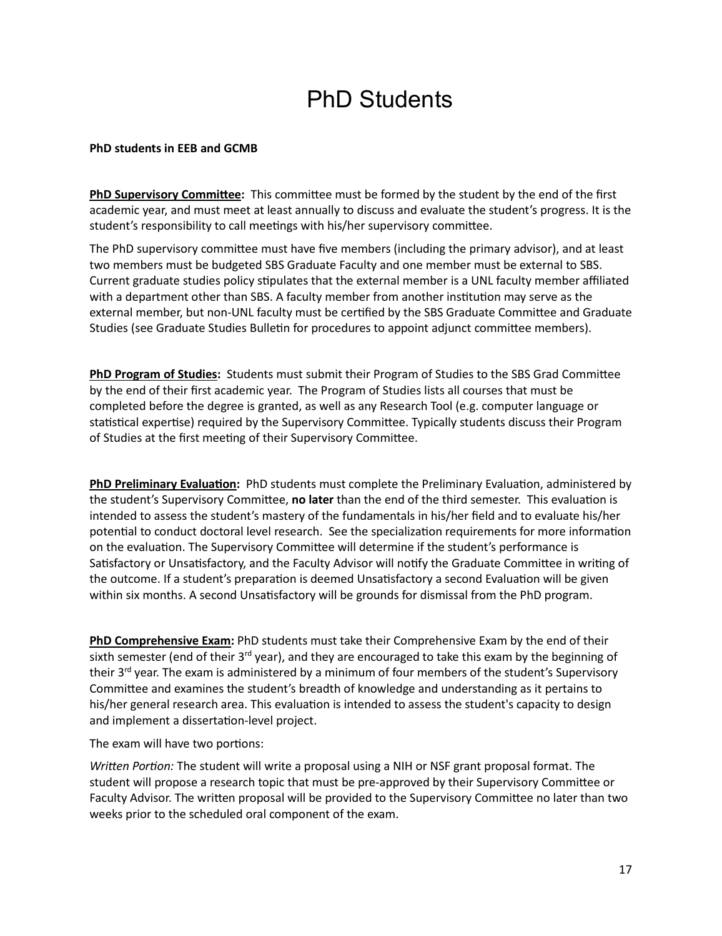# PhD Students

### **PhD students in EEB and GCMB**

**PhD Supervisory Commitee:** This commitee must be formed by the student by the end of the first academic year, and must meet at least annually to discuss and evaluate the student's progress. It is the student's responsibility to call meetings with his/her supervisory committee.

The PhD supervisory commitee must have five members (including the primary advisor), and at least two members must be budgeted SBS Graduate Faculty and one member must be external to SBS. Current graduate studies policy stipulates that the external member is a UNL faculty member affiliated with a department other than SBS. A faculty member from another institution may serve as the external member, but non-UNL faculty must be certified by the SBS Graduate Committee and Graduate Studies (see Graduate Studies Bulletin for procedures to appoint adjunct committee members).

**PhD Program of Studies:** Students must submit their Program of Studies to the SBS Grad Commitee by the end of their first academic year. The Program of Studies lists all courses that must be completed before the degree is granted, as well as any Research Tool (e.g. computer language or statistical expertise) required by the Supervisory Committee. Typically students discuss their Program of Studies at the first meeting of their Supervisory Committee.

**PhD Preliminary Evaluation:** PhD students must complete the Preliminary Evaluation, administered by the student's Supervisory Committee, **no later** than the end of the third semester. This evaluation is intended to assess the student's mastery of the fundamentals in his/her field and to evaluate his/her potential to conduct doctoral level research. See the specialization requirements for more information on the evaluation. The Supervisory Committee will determine if the student's performance is Satisfactory or Unsatisfactory, and the Faculty Advisor will notify the Graduate Committee in writing of the outcome. If a student's preparation is deemed Unsatisfactory a second Evaluation will be given within six months. A second Unsatisfactory will be grounds for dismissal from the PhD program.

**PhD Comprehensive Exam:** PhD students must take their Comprehensive Exam by the end of their sixth semester (end of their  $3^{rd}$  year), and they are encouraged to take this exam by the beginning of their 3<sup>rd</sup> year. The exam is administered by a minimum of four members of the student's Supervisory Commitee and examines the student's breadth of knowledge and understanding as it pertains to his/her general research area. This evaluation is intended to assess the student's capacity to design and implement a dissertation-level project.

The exam will have two portions:

*Written Portion:* The student will write a proposal using a NIH or NSF grant proposal format. The student will propose a research topic that must be pre-approved by their Supervisory Commitee or Faculty Advisor. The writen proposal will be provided to the Supervisory Commitee no later than two weeks prior to the scheduled oral component of the exam.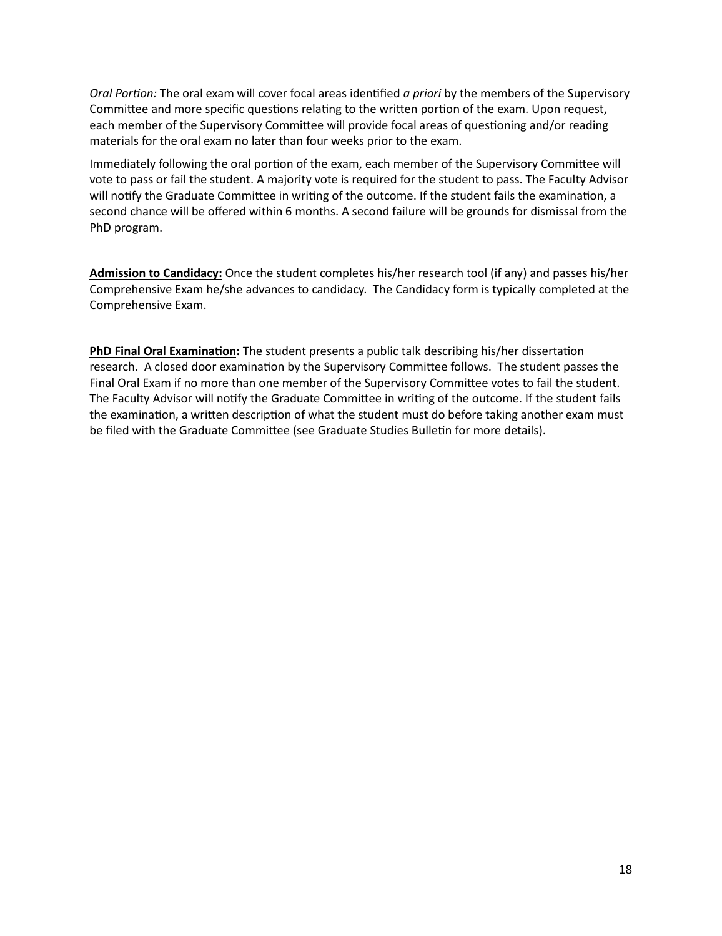*Oral Portion:* The oral exam will cover focal areas iden�fied *a priori* by the members of the Supervisory Committee and more specific questions relating to the written portion of the exam. Upon request, each member of the Supervisory Committee will provide focal areas of questioning and/or reading materials for the oral exam no later than four weeks prior to the exam.

Immediately following the oral portion of the exam, each member of the Supervisory Committee will vote to pass or fail the student. A majority vote is required for the student to pass. The Faculty Advisor will notify the Graduate Committee in writing of the outcome. If the student fails the examination, a second chance will be offered within 6 months. A second failure will be grounds for dismissal from the PhD program.

**Admission to Candidacy:** Once the student completes his/her research tool (if any) and passes his/her Comprehensive Exam he/she advances to candidacy. The Candidacy form is typically completed at the Comprehensive Exam.

**PhD Final Oral Examination:** The student presents a public talk describing his/her dissertation research. A closed door examination by the Supervisory Committee follows. The student passes the Final Oral Exam if no more than one member of the Supervisory Commitee votes to fail the student. The Faculty Advisor will notify the Graduate Committee in writing of the outcome. If the student fails the examination, a written description of what the student must do before taking another exam must be filed with the Graduate Committee (see Graduate Studies Bulletin for more details).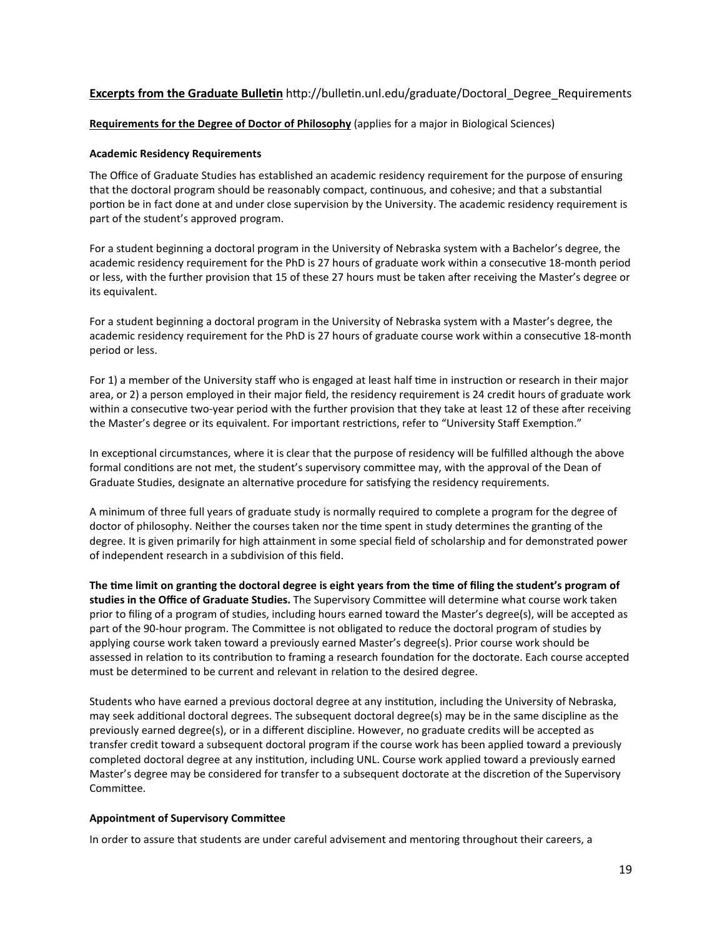### **Excerpts from the Graduate Bulletin** http://bulletin.unl.edu/graduate/Doctoral\_Degree\_Requirements

#### **Requirements for the Degree of Doctor of Philosophy** (applies for a major in Biological Sciences)

#### **Academic Residency Requirements**

The Office of Graduate Studies has established an academic residency requirement for the purpose of ensuring that the doctoral program should be reasonably compact, continuous, and cohesive; and that a substantial portion be in fact done at and under close supervision by the University. The academic residency requirement is part of the student's approved program.

For a student beginning a doctoral program in the University of Nebraska system with a Bachelor's degree, the academic residency requirement for the PhD is 27 hours of graduate work within a consecutive 18-month period or less, with the further provision that 15 of these 27 hours must be taken after receiving the Master's degree or its equivalent.

For a student beginning a doctoral program in the University of Nebraska system with a Master's degree, the academic residency requirement for the PhD is 27 hours of graduate course work within a consecutive 18-month period or less.

For 1) a member of the University staff who is engaged at least half time in instruction or research in their major area, or 2) a person employed in their major field, the residency requirement is 24 credit hours of graduate work within a consecutive two-year period with the further provision that they take at least 12 of these after receiving the Master's degree or its equivalent. For important restrictions, refer to "University Staff Exemption."

In exceptional circumstances, where it is clear that the purpose of residency will be fulfilled although the above formal conditions are not met, the student's supervisory committee may, with the approval of the Dean of Graduate Studies, designate an alternative procedure for satisfying the residency requirements.

A minimum of three full years of graduate study is normally required to complete a program for the degree of doctor of philosophy. Neither the courses taken nor the time spent in study determines the granting of the degree. It is given primarily for high atainment in some special field of scholarship and for demonstrated power of independent research in a subdivision of this field.

The time limit on granting the doctoral degree is eight years from the time of filing the student's program of **studies in the Office of Graduate Studies.** The Supervisory Commitee will determine what course work taken prior to filing of a program of studies, including hours earned toward the Master's degree(s), will be accepted as part of the 90-hour program. The Commitee is not obligated to reduce the doctoral program of studies by applying course work taken toward a previously earned Master's degree(s). Prior course work should be assessed in relation to its contribution to framing a research foundation for the doctorate. Each course accepted must be determined to be current and relevant in relation to the desired degree.

Students who have earned a previous doctoral degree at any institution, including the University of Nebraska, may seek additional doctoral degrees. The subsequent doctoral degree(s) may be in the same discipline as the previously earned degree(s), or in a different discipline. However, no graduate credits will be accepted as transfer credit toward a subsequent doctoral program if the course work has been applied toward a previously completed doctoral degree at any institution, including UNL. Course work applied toward a previously earned Master's degree may be considered for transfer to a subsequent doctorate at the discretion of the Supervisory Commitee.

#### **Appointment of Supervisory Commitee**

In order to assure that students are under careful advisement and mentoring throughout their careers, a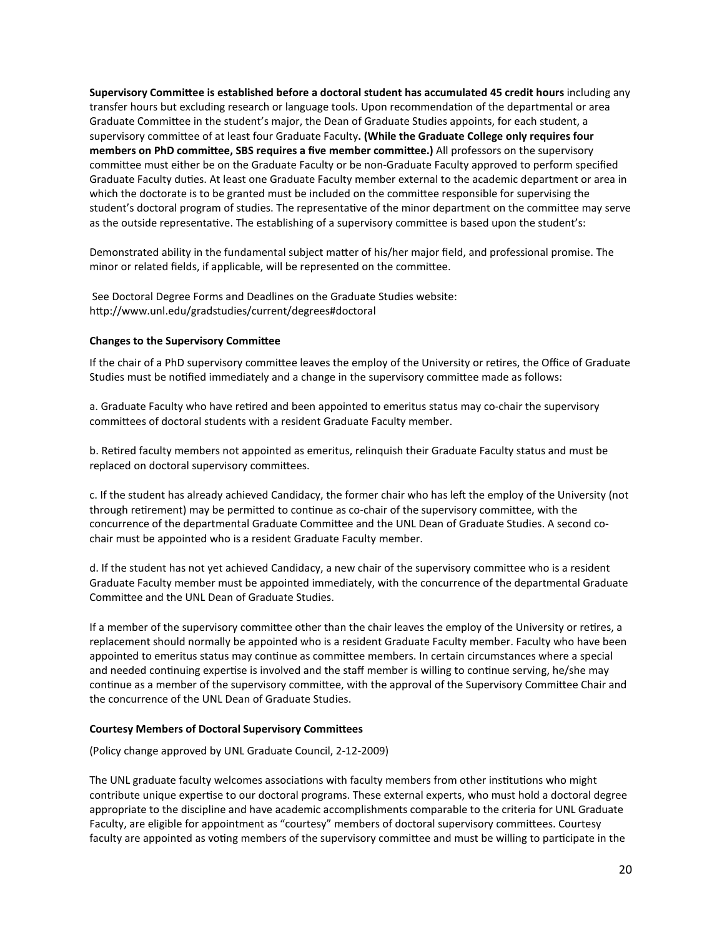**Supervisory Commitee is established before a doctoral student has accumulated 45 credit hours** including any transfer hours but excluding research or language tools. Upon recommendation of the departmental or area Graduate Commitee in the student's major, the Dean of Graduate Studies appoints, for each student, a supervisory commitee of at least four Graduate Faculty**. (While the Graduate College only requires four members on PhD commitee, SBS requires a five member commitee.)** All professors on the supervisory commitee must either be on the Graduate Faculty or be non-Graduate Faculty approved to perform specified Graduate Faculty duties. At least one Graduate Faculty member external to the academic department or area in which the doctorate is to be granted must be included on the commitee responsible for supervising the student's doctoral program of studies. The representative of the minor department on the committee may serve as the outside representative. The establishing of a supervisory committee is based upon the student's:

Demonstrated ability in the fundamental subject mater of his/her major field, and professional promise. The minor or related fields, if applicable, will be represented on the commitee.

See Doctoral Degree Forms and Deadlines on the Graduate Studies website: [htp://www.unl.edu/gradstudies/current/degrees#doctoral](http://www.unl.edu/gradstudies/current/degrees#doctoral)

#### **Changes to the Supervisory Commitee**

If the chair of a PhD supervisory committee leaves the employ of the University or retires, the Office of Graduate Studies must be notified immediately and a change in the supervisory committee made as follows:

a. Graduate Faculty who have retired and been appointed to emeritus status may co-chair the supervisory commitees of doctoral students with a resident Graduate Faculty member.

b. Re�red faculty members not appointed as emeritus, relinquish their Graduate Faculty status and must be replaced on doctoral supervisory commitees.

c. If the student has already achieved Candidacy, the former chair who has left the employ of the University (not through retirement) may be permitted to continue as co-chair of the supervisory committee, with the concurrence of the departmental Graduate Commitee and the UNL Dean of Graduate Studies. A second cochair must be appointed who is a resident Graduate Faculty member.

d. If the student has not yet achieved Candidacy, a new chair of the supervisory commitee who is a resident Graduate Faculty member must be appointed immediately, with the concurrence of the departmental Graduate Commitee and the UNL Dean of Graduate Studies.

If a member of the supervisory committee other than the chair leaves the employ of the University or retires, a replacement should normally be appointed who is a resident Graduate Faculty member. Faculty who have been appointed to emeritus status may continue as committee members. In certain circumstances where a special and needed continuing expertise is involved and the staff member is willing to continue serving, he/she may continue as a member of the supervisory committee, with the approval of the Supervisory Committee Chair and the concurrence of the UNL Dean of Graduate Studies.

#### **Courtesy Members of Doctoral Supervisory Commitees**

(Policy change approved by UNL Graduate Council, 2-12-2009)

The UNL graduate faculty welcomes associations with faculty members from other institutions who might contribute unique expertise to our doctoral programs. These external experts, who must hold a doctoral degree appropriate to the discipline and have academic accomplishments comparable to the criteria for UNL Graduate Faculty, are eligible for appointment as "courtesy" members of doctoral supervisory commitees. Courtesy faculty are appointed as voting members of the supervisory committee and must be willing to participate in the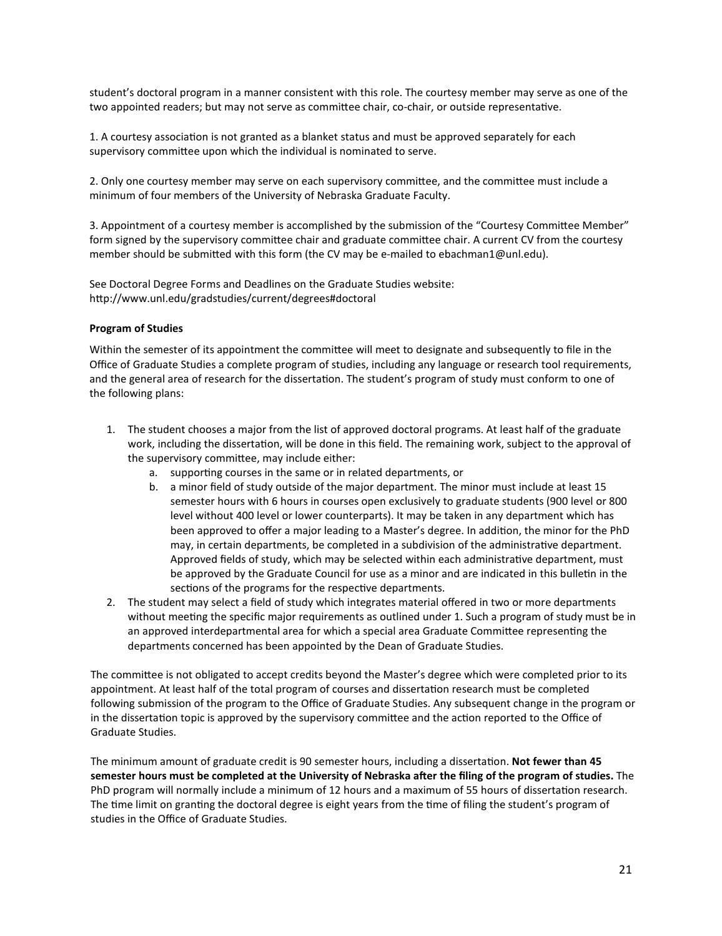student's doctoral program in a manner consistent with this role. The courtesy member may serve as one of the two appointed readers; but may not serve as committee chair, co-chair, or outside representative.

1. A courtesy association is not granted as a blanket status and must be approved separately for each supervisory commitee upon which the individual is nominated to serve.

2. Only one courtesy member may serve on each supervisory commitee, and the commitee must include a minimum of four members of the University of Nebraska Graduate Faculty.

3. Appointment of a courtesy member is accomplished by the submission of the "Courtesy Commitee Member" form signed by the supervisory commitee chair and graduate commitee chair. A current CV from the courtesy member should be submitted with this form (the CV may be e-mailed to ebachman1@unl.edu).

See Doctoral Degree Forms and Deadlines on the Graduate Studies website: [htp://www.unl.edu/gradstudies/current/degrees#doctoral](http://www.unl.edu/gradstudies/current/degrees#doctoral)

#### **Program of Studies**

Within the semester of its appointment the commitee will meet to designate and subsequently to file in the Office of Graduate Studies a complete program of studies, including any language or research tool requirements, and the general area of research for the dissertation. The student's program of study must conform to one of the following plans:

- 1. The student chooses a major from the list of approved doctoral programs. At least half of the graduate work, including the dissertation, will be done in this field. The remaining work, subject to the approval of the supervisory commitee, may include either:
	- a. supporting courses in the same or in related departments, or
	- b. a minor field of study outside of the major department. The minor must include at least 15 semester hours with 6 hours in courses open exclusively to graduate students (900 level or 800 level without 400 level or lower counterparts). It may be taken in any department which has been approved to offer a major leading to a Master's degree. In addition, the minor for the PhD may, in certain departments, be completed in a subdivision of the administrative department. Approved fields of study, which may be selected within each administrative department, must be approved by the Graduate Council for use as a minor and are indicated in this bulletin in the sections of the programs for the respective departments.
- 2. The student may select a field of study which integrates material offered in two or more departments without meeting the specific major requirements as outlined under 1. Such a program of study must be in an approved interdepartmental area for which a special area Graduate Committee representing the departments concerned has been appointed by the Dean of Graduate Studies.

The commitee is not obligated to accept credits beyond the Master's degree which were completed prior to its appointment. At least half of the total program of courses and dissertation research must be completed following submission of the program to the Office of Graduate Studies. Any subsequent change in the program or in the dissertation topic is approved by the supervisory committee and the action reported to the Office of Graduate Studies.

The minimum amount of graduate credit is 90 semester hours, including a dissertation. Not fewer than 45 **semester hours must be completed at the University of Nebraska a�er the filing of the program of studies.** The PhD program will normally include a minimum of 12 hours and a maximum of 55 hours of dissertation research. The time limit on granting the doctoral degree is eight years from the time of filing the student's program of studies in the Office of Graduate Studies.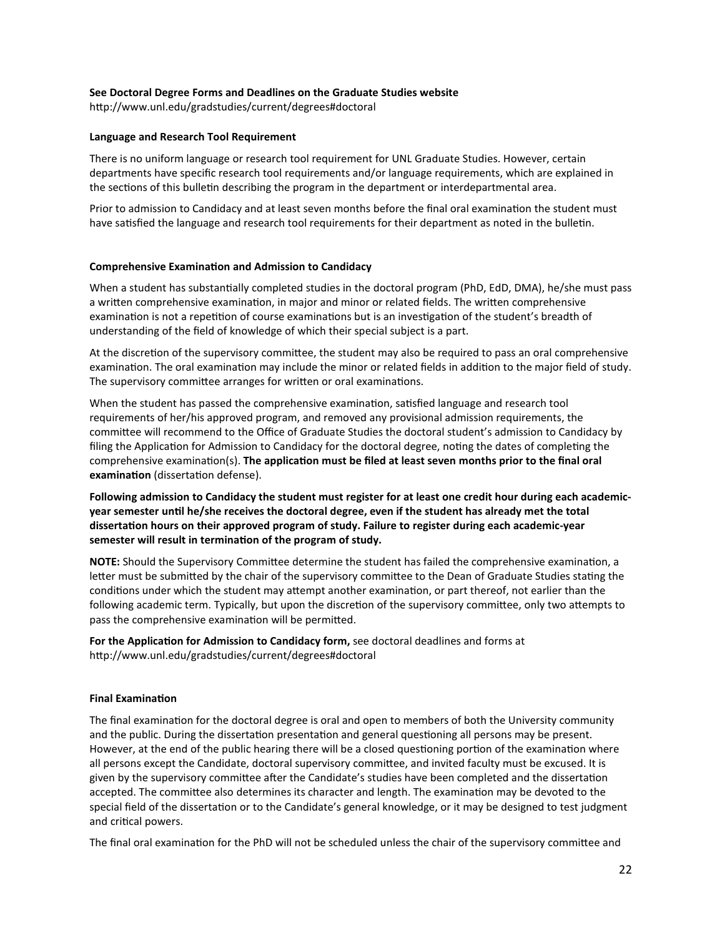#### **See Doctoral Degree Forms and Deadlines on the Graduate Studies website**

[htp://www.unl.edu/gradstudies/current/degrees#doctoral](http://www.unl.edu/gradstudies/current/degrees#doctoral)

#### **Language and Research Tool Requirement**

There is no uniform language or research tool requirement for UNL Graduate Studies. However, certain departments have specific research tool requirements and/or language requirements, which are explained in the sections of this bulletin describing the program in the department or interdepartmental area.

Prior to admission to Candidacy and at least seven months before the final oral examination the student must have satisfied the language and research tool requirements for their department as noted in the bulletin.

#### **Comprehensive Examination and Admission to Candidacy**

When a student has substantially completed studies in the doctoral program (PhD, EdD, DMA), he/she must pass a written comprehensive examination, in major and minor or related fields. The written comprehensive examination is not a repetition of course examinations but is an investigation of the student's breadth of understanding of the field of knowledge of which their special subject is a part.

At the discretion of the supervisory committee, the student may also be required to pass an oral comprehensive examination. The oral examination may include the minor or related fields in addition to the major field of study. The supervisory committee arranges for written or oral examinations.

When the student has passed the comprehensive examination, satisfied language and research tool requirements of her/his approved program, and removed any provisional admission requirements, the commitee will recommend to the Office of Graduate Studies the doctoral student's admission to Candidacy by filing the Application for Admission to Candidacy for the doctoral degree, noting the dates of completing the comprehensive examination(s). The application must be filed at least seven months prior to the final oral **examination** (dissertation defense).

**Following admission to Candidacy the student must register for at least one credit hour during each academicyear semester un�l he/she receives the doctoral degree, even if the student has already met the total disserta�on hours on their approved program of study. Failure to register during each academic-year**  semester will result in termination of the program of study.

**NOTE:** Should the Supervisory Committee determine the student has failed the comprehensive examination, a letter must be submitted by the chair of the supervisory committee to the Dean of Graduate Studies stating the conditions under which the student may attempt another examination, or part thereof, not earlier than the following academic term. Typically, but upon the discretion of the supervisory committee, only two attempts to pass the comprehensive examination will be permitted.

For the Application for Admission to Candidacy form, see doctoral deadlines and forms at [htp://www.unl.edu/gradstudies/current/degrees#doctoral](http://www.unl.edu/gradstudies/current/degrees#doctoral)

#### **Final Examination**

The final examination for the doctoral degree is oral and open to members of both the University community and the public. During the dissertation presentation and general questioning all persons may be present. However, at the end of the public hearing there will be a closed questioning portion of the examination where all persons except the Candidate, doctoral supervisory commitee, and invited faculty must be excused. It is given by the supervisory committee after the Candidate's studies have been completed and the dissertation accepted. The committee also determines its character and length. The examination may be devoted to the special field of the dissertation or to the Candidate's general knowledge, or it may be designed to test judgment and critical powers.

The final oral examination for the PhD will not be scheduled unless the chair of the supervisory committee and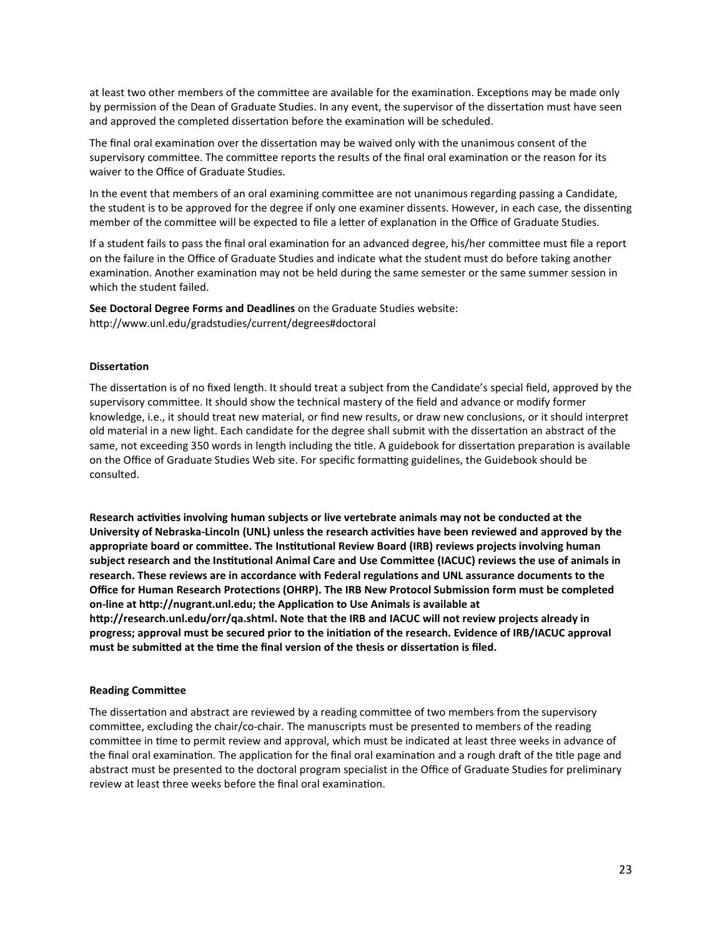at least two other members of the committee are available for the examination. Exceptions may be made only by permission of the Dean of Graduate Studies. In any event, the supervisor of the dissertation must have seen and approved the completed dissertation before the examination will be scheduled.

The final oral examination over the dissertation may be waived only with the unanimous consent of the supervisory committee. The committee reports the results of the final oral examination or the reason for its waiver to the Office of Graduate Studies.

In the event that members of an oral examining commitee are not unanimous regarding passing a Candidate, the student is to be approved for the degree if only one examiner dissents. However, in each case, the dissenting member of the committee will be expected to file a letter of explanation in the Office of Graduate Studies.

If a student fails to pass the final oral examination for an advanced degree, his/her committee must file a report on the failure in the Office of Graduate Studies and indicate what the student must do before taking another examination. Another examination may not be held during the same semester or the same summer session in which the student failed.

**See Doctoral Degree Forms and Deadlines** on the Graduate Studies website: [htp://www.unl.edu/gradstudies/current/degrees#doctoral](http://www.unl.edu/gradstudies/current/degrees#doctoral)

#### **Disserta�on**

The dissertation is of no fixed length. It should treat a subject from the Candidate's special field, approved by the supervisory commitee. It should show the technical mastery of the field and advance or modify former knowledge, i.e., it should treat new material, or find new results, or draw new conclusions, or it should interpret old material in a new light. Each candidate for the degree shall submit with the dissertation an abstract of the same, not exceeding 350 words in length including the title. A guidebook for dissertation preparation is available on the Office of Graduate Studies Web site. For specific formatting guidelines, the Guidebook should be consulted.

Research activities involving human subjects or live vertebrate animals may not be conducted at the **University of Nebraska-Lincoln (UNL) unless the research ac�vi�es have been reviewed and approved by the**  appropriate board or committee. The Institutional Review Board (IRB) reviews projects involving human subject research and the Institutional Animal Care and Use Committee (IACUC) reviews the use of animals in research. These reviews are in accordance with Federal regulations and UNL assurance documents to the Office for Human Research Protections (OHRP). The IRB New Protocol Submission form must be completed **on-line a[t htp://nugrant.unl.edu;](http://nugrant.unl.edu/) the Applica�on to Use Animals is available at [htp://research.unl.edu/orr/qa.shtml.](http://research.unl.edu/orr/qa.shtml) Note that the IRB and IACUC will not review projects already in progress; approval must be secured prior to the ini�a�on of the research. Evidence of IRB/IACUC approval**  must be submitted at the time the final version of the thesis or dissertation is filed.

#### **Reading Commitee**

The dissertation and abstract are reviewed by a reading committee of two members from the supervisory commitee, excluding the chair/co-chair. The manuscripts must be presented to members of the reading committee in time to permit review and approval, which must be indicated at least three weeks in advance of the final oral examination. The application for the final oral examination and a rough draft of the title page and abstract must be presented to the doctoral program specialist in the Office of Graduate Studies for preliminary review at least three weeks before the final oral examination.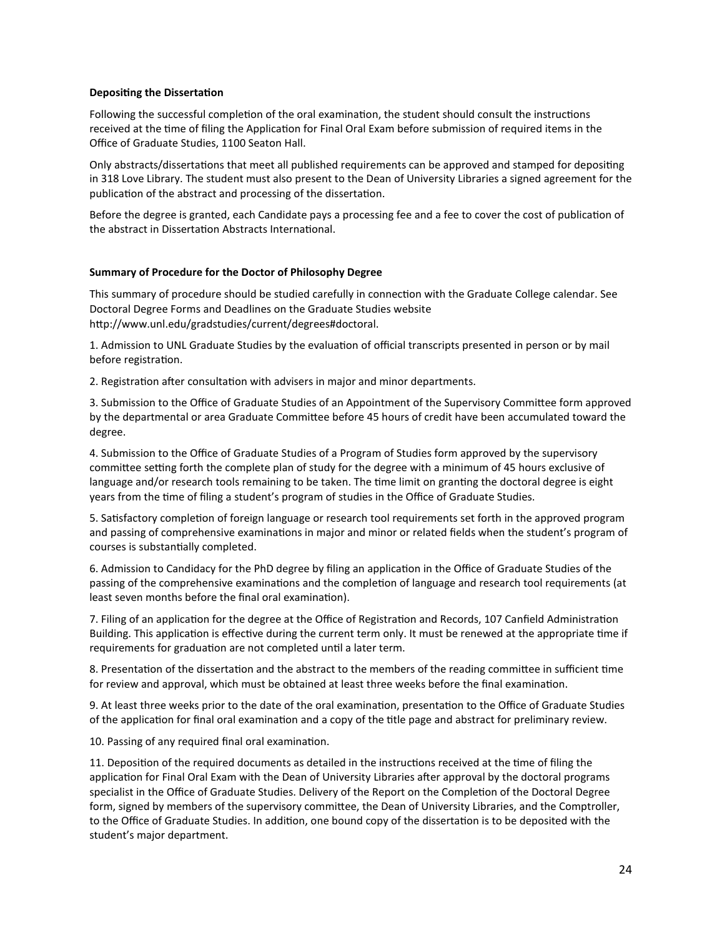#### **Depositing the Dissertation**

Following the successful completion of the oral examination, the student should consult the instructions received at the time of filing the Application for Final Oral Exam before submission of required items in the Office of Graduate Studies, 1100 Seaton Hall.

Only abstracts/dissertations that meet all published requirements can be approved and stamped for depositing in 318 Love Library. The student must also present to the Dean of University Libraries a signed agreement for the publication of the abstract and processing of the dissertation.

Before the degree is granted, each Candidate pays a processing fee and a fee to cover the cost of publication of the abstract in Dissertation Abstracts International.

#### **Summary of Procedure for the Doctor of Philosophy Degree**

This summary of procedure should be studied carefully in connection with the Graduate College calendar. See Doctoral Degree Forms and Deadlines on the Graduate Studies website [htp://www.unl.edu/gradstudies/current/degrees#doctoral](http://www.unl.edu/gradstudies/current/degrees#doctoral).

1. Admission to UNL Graduate Studies by the evaluation of official transcripts presented in person or by mail before registration.

2. Registration after consultation with advisers in major and minor departments.

3. Submission to the Office of Graduate Studies of an Appointment of the Supervisory Commitee form approved by the departmental or area Graduate Commitee before 45 hours of credit have been accumulated toward the degree.

4. Submission to the Office of Graduate Studies of a Program of Studies form approved by the supervisory committee setting forth the complete plan of study for the degree with a minimum of 45 hours exclusive of language and/or research tools remaining to be taken. The time limit on granting the doctoral degree is eight years from the time of filing a student's program of studies in the Office of Graduate Studies.

5. Satisfactory completion of foreign language or research tool requirements set forth in the approved program and passing of comprehensive examinations in major and minor or related fields when the student's program of courses is substantially completed.

6. Admission to Candidacy for the PhD degree by filing an application in the Office of Graduate Studies of the passing of the comprehensive examinations and the completion of language and research tool requirements (at least seven months before the final oral examination).

7. Filing of an application for the degree at the Office of Registration and Records, 107 Canfield Administration Building. This application is effective during the current term only. It must be renewed at the appropriate time if requirements for graduation are not completed until a later term.

8. Presentation of the dissertation and the abstract to the members of the reading committee in sufficient time for review and approval, which must be obtained at least three weeks before the final examination.

9. At least three weeks prior to the date of the oral examination, presentation to the Office of Graduate Studies of the application for final oral examination and a copy of the title page and abstract for preliminary review.

10. Passing of any required final oral examination.

11. Deposition of the required documents as detailed in the instructions received at the time of filing the application for Final Oral Exam with the Dean of University Libraries after approval by the doctoral programs specialist in the Office of Graduate Studies. Delivery of the Report on the Completion of the Doctoral Degree form, signed by members of the supervisory commitee, the Dean of University Libraries, and the Comptroller, to the Office of Graduate Studies. In addition, one bound copy of the dissertation is to be deposited with the student's major department.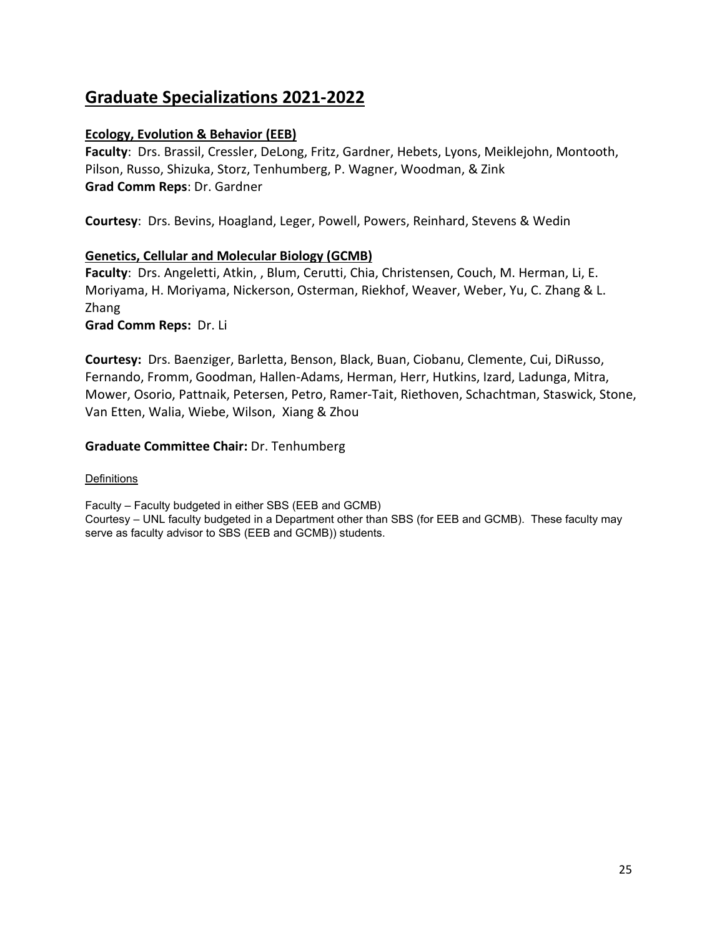## **Graduate Specializa�ons 2021-2022**

## **Ecology, Evolution & Behavior (EEB)**

**Faculty**: Drs. Brassil, Cressler, DeLong, Fritz, Gardner, Hebets, Lyons, Meiklejohn, Montooth, Pilson, Russo, Shizuka, Storz, Tenhumberg, P. Wagner, Woodman, & Zink **Grad Comm Reps**: Dr. Gardner

**Courtesy**: Drs. Bevins, Hoagland, Leger, Powell, Powers, Reinhard, Stevens & Wedin

## **Genetics, Cellular and Molecular Biology (GCMB)**

**Faculty**: Drs. Angeletti, Atkin, , Blum, Cerutti, Chia, Christensen, Couch, M. Herman, Li, E. Moriyama, H. Moriyama, Nickerson, Osterman, Riekhof, Weaver, Weber, Yu, C. Zhang & L. Zhang

**Grad Comm Reps:** Dr. Li

**Courtesy:** Drs. Baenziger, Barletta, Benson, Black, Buan, Ciobanu, Clemente, Cui, DiRusso, Fernando, Fromm, Goodman, Hallen-Adams, Herman, Herr, Hutkins, Izard, Ladunga, Mitra, Mower, Osorio, Pattnaik, Petersen, Petro, Ramer-Tait, Riethoven, Schachtman, Staswick, Stone, Van Etten, Walia, Wiebe, Wilson, Xiang & Zhou

## **Graduate Committee Chair:** Dr. Tenhumberg

## Definitions

Faculty – Faculty budgeted in either SBS (EEB and GCMB) Courtesy – UNL faculty budgeted in a Department other than SBS (for EEB and GCMB). These faculty may serve as faculty advisor to SBS (EEB and GCMB)) students.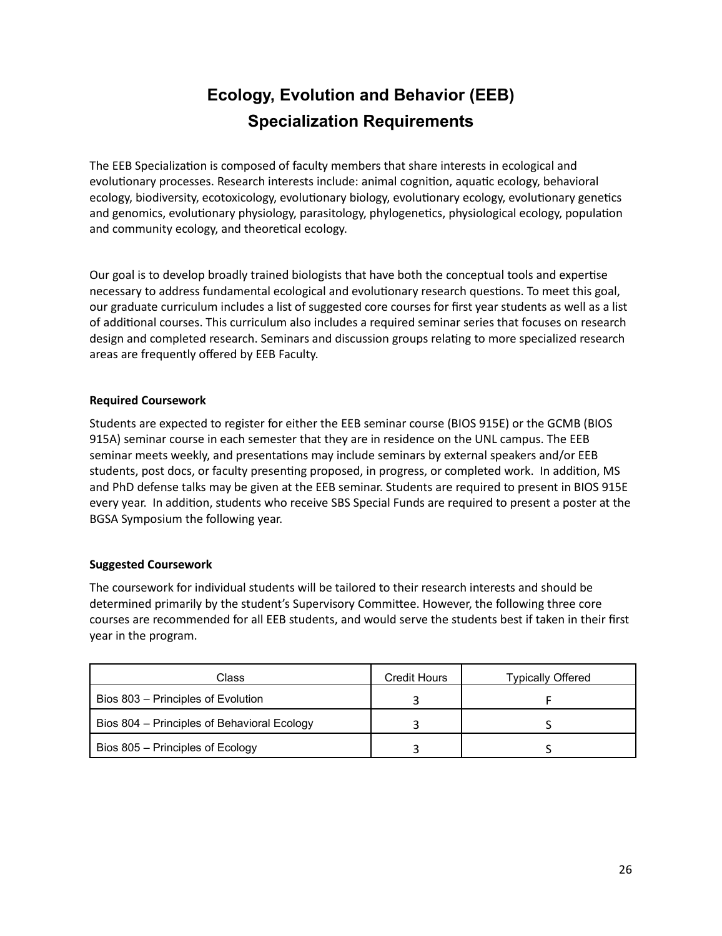## **Ecology, Evolution and Behavior (EEB) Specialization Requirements**

The EEB Specialization is composed of faculty members that share interests in ecological and evolutionary processes. Research interests include: animal cognition, aquatic ecology, behavioral ecology, biodiversity, ecotoxicology, evolutionary biology, evolutionary ecology, evolutionary genetics and genomics, evolutionary physiology, parasitology, phylogenetics, physiological ecology, population and community ecology, and theoretical ecology.

Our goal is to develop broadly trained biologists that have both the conceptual tools and exper�se necessary to address fundamental ecological and evolutionary research questions. To meet this goal, our graduate curriculum includes a list of suggested core courses for first year students as well as a list of additional courses. This curriculum also includes a required seminar series that focuses on research design and completed research. Seminars and discussion groups relating to more specialized research areas are frequently offered by EEB Faculty.

## **Required Coursework**

Students are expected to register for either the EEB seminar course (BIOS 915E) or the GCMB (BIOS 915A) seminar course in each semester that they are in residence on the UNL campus. The EEB seminar meets weekly, and presentations may include seminars by external speakers and/or EEB students, post docs, or faculty presenting proposed, in progress, or completed work. In addition, MS and PhD defense talks may be given at the EEB seminar. Students are required to present in BIOS 915E every year. In addition, students who receive SBS Special Funds are required to present a poster at the BGSA Symposium the following year.

## **Suggested Coursework**

The coursework for individual students will be tailored to their research interests and should be determined primarily by the student's Supervisory Commitee. However, the following three core courses are recommended for all EEB students, and would serve the students best if taken in their first year in the program.

| Class                                       | Credit Hours | Typically Offered |
|---------------------------------------------|--------------|-------------------|
| Bios 803 - Principles of Evolution          |              |                   |
| Bios 804 - Principles of Behavioral Ecology |              |                   |
| Bios 805 – Principles of Ecology            |              |                   |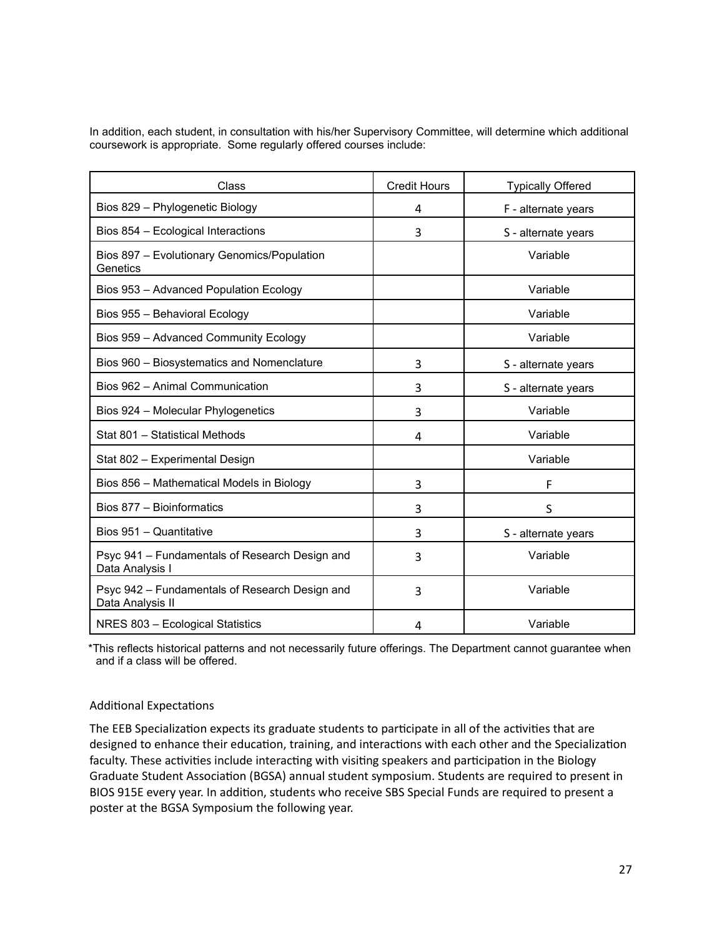In addition, each student, in consultation with his/her Supervisory Committee, will determine which additional coursework is appropriate. Some regularly offered courses include:

| Class                                                              | <b>Credit Hours</b> | <b>Typically Offered</b> |
|--------------------------------------------------------------------|---------------------|--------------------------|
| Bios 829 - Phylogenetic Biology                                    | 4                   | F - alternate years      |
| Bios 854 - Ecological Interactions                                 | 3                   | S - alternate years      |
| Bios 897 - Evolutionary Genomics/Population<br>Genetics            |                     | Variable                 |
| Bios 953 - Advanced Population Ecology                             |                     | Variable                 |
| Bios 955 - Behavioral Ecology                                      |                     | Variable                 |
| Bios 959 - Advanced Community Ecology                              |                     | Variable                 |
| Bios 960 - Biosystematics and Nomenclature                         | 3                   | S - alternate years      |
| Bios 962 - Animal Communication                                    | 3                   | S - alternate years      |
| Bios 924 - Molecular Phylogenetics                                 | 3                   | Variable                 |
| Stat 801 - Statistical Methods                                     | 4                   | Variable                 |
| Stat 802 - Experimental Design                                     |                     | Variable                 |
| Bios 856 - Mathematical Models in Biology                          | 3                   | F                        |
| Bios 877 - Bioinformatics                                          | 3                   | S                        |
| Bios 951 - Quantitative                                            | 3                   | S - alternate years      |
| Psyc 941 - Fundamentals of Research Design and<br>Data Analysis I  | 3                   | Variable                 |
| Psyc 942 - Fundamentals of Research Design and<br>Data Analysis II | 3                   | Variable                 |
| NRES 803 - Ecological Statistics                                   | 4                   | Variable                 |

\*This reflects historical patterns and not necessarily future offerings. The Department cannot guarantee when and if a class will be offered.

## Additional Expectations

The EEB Specialization expects its graduate students to participate in all of the activities that are designed to enhance their education, training, and interactions with each other and the Specialization faculty. These activities include interacting with visiting speakers and participation in the Biology Graduate Student Association (BGSA) annual student symposium. Students are required to present in BIOS 915E every year. In addition, students who receive SBS Special Funds are required to present a poster at the BGSA Symposium the following year.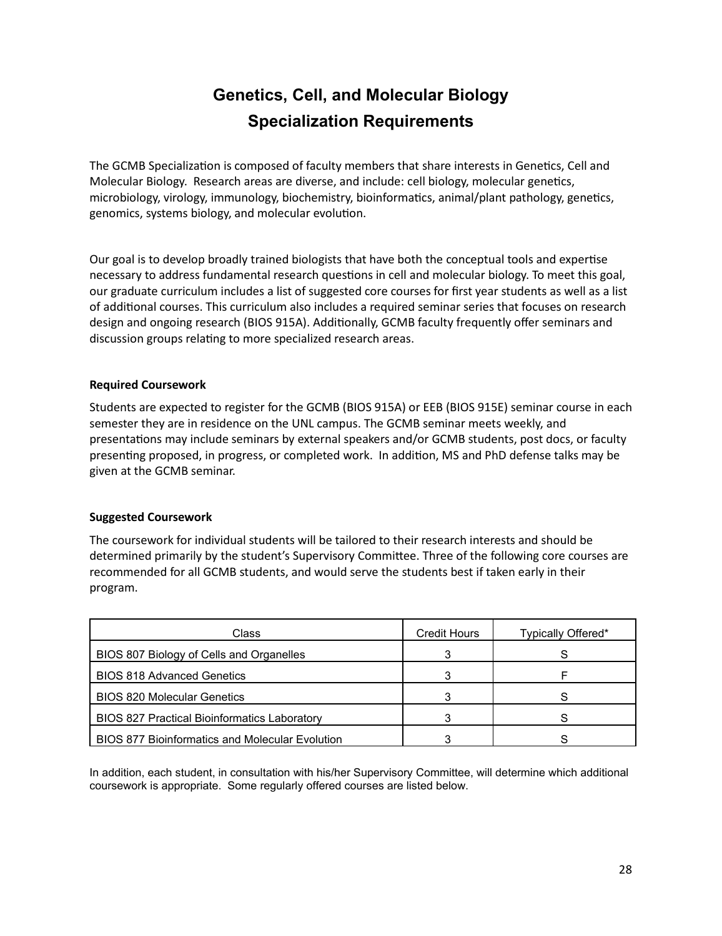## **Genetics, Cell, and Molecular Biology Specialization Requirements**

The GCMB Specialization is composed of faculty members that share interests in Genetics, Cell and Molecular Biology. Research areas are diverse, and include: cell biology, molecular genetics, microbiology, virology, immunology, biochemistry, bioinformatics, animal/plant pathology, genetics, genomics, systems biology, and molecular evolution.

Our goal is to develop broadly trained biologists that have both the conceptual tools and exper�se necessary to address fundamental research questions in cell and molecular biology. To meet this goal, our graduate curriculum includes a list of suggested core courses for first year students as well as a list of addi�onal courses. This curriculum also includes a required seminar series that focuses on research design and ongoing research (BIOS 915A). Additionally, GCMB faculty frequently offer seminars and discussion groups relating to more specialized research areas.

### **Required Coursework**

Students are expected to register for the GCMB (BIOS 915A) or EEB (BIOS 915E) seminar course in each semester they are in residence on the UNL campus. The GCMB seminar meets weekly, and presentations may include seminars by external speakers and/or GCMB students, post docs, or faculty presenting proposed, in progress, or completed work. In addition, MS and PhD defense talks may be given at the GCMB seminar.

## **Suggested Coursework**

The coursework for individual students will be tailored to their research interests and should be determined primarily by the student's Supervisory Commitee. Three of the following core courses are recommended for all GCMB students, and would serve the students best if taken early in their program.

| Class                                                  | <b>Credit Hours</b> | Typically Offered* |
|--------------------------------------------------------|---------------------|--------------------|
| BIOS 807 Biology of Cells and Organelles               |                     |                    |
| <b>BIOS 818 Advanced Genetics</b>                      |                     |                    |
| <b>BIOS 820 Molecular Genetics</b>                     |                     |                    |
| <b>BIOS 827 Practical Bioinformatics Laboratory</b>    |                     |                    |
| <b>BIOS 877 Bioinformatics and Molecular Evolution</b> |                     |                    |

In addition, each student, in consultation with his/her Supervisory Committee, will determine which additional coursework is appropriate. Some regularly offered courses are listed below.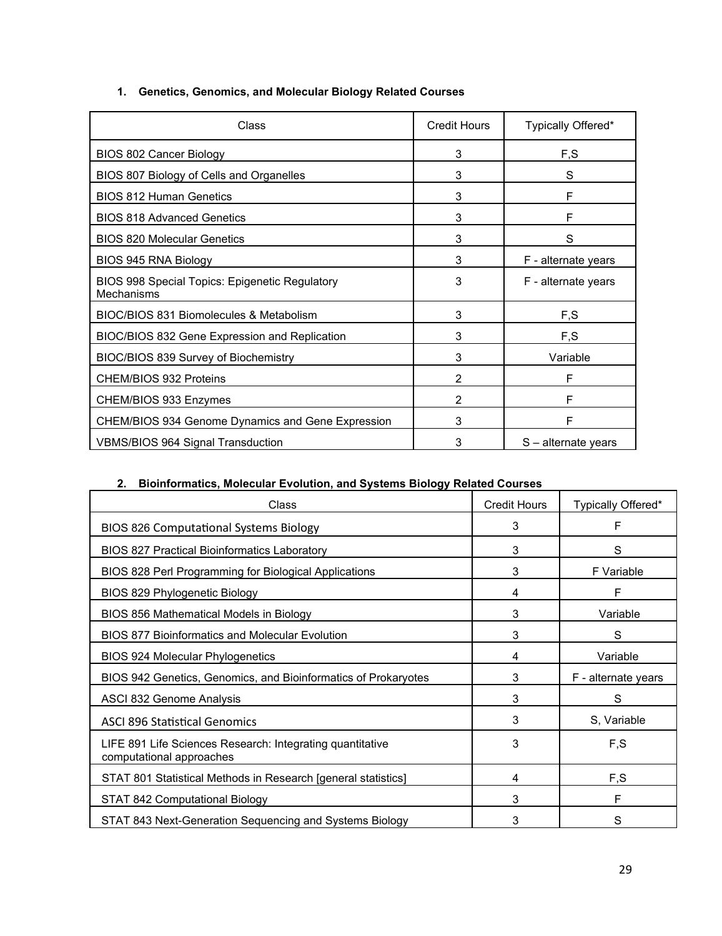| Class                                                                      | <b>Credit Hours</b> | Typically Offered*  |
|----------------------------------------------------------------------------|---------------------|---------------------|
| BIOS 802 Cancer Biology                                                    | 3                   | F,S                 |
| BIOS 807 Biology of Cells and Organelles                                   | 3                   | S                   |
| <b>BIOS 812 Human Genetics</b>                                             | 3                   | F                   |
| <b>BIOS 818 Advanced Genetics</b>                                          | 3                   | F                   |
| <b>BIOS 820 Molecular Genetics</b>                                         | 3                   | S                   |
| BIOS 945 RNA Biology                                                       | 3                   | F - alternate years |
| <b>BIOS 998 Special Topics: Epigenetic Regulatory</b><br><b>Mechanisms</b> | 3                   | F - alternate years |
| BIOC/BIOS 831 Biomolecules & Metabolism                                    | 3                   | F,S                 |
| BIOC/BIOS 832 Gene Expression and Replication                              | 3                   | F, S                |
| BIOC/BIOS 839 Survey of Biochemistry                                       | 3                   | Variable            |
| <b>CHEM/BIOS 932 Proteins</b>                                              | $\mathfrak{p}$      | F                   |
| CHEM/BIOS 933 Enzymes                                                      | 2                   | F                   |
| CHEM/BIOS 934 Genome Dynamics and Gene Expression                          | 3                   | F                   |
| <b>VBMS/BIOS 964 Signal Transduction</b>                                   | 3                   | S – alternate years |

## **1. Genetics, Genomics, and Molecular Biology Related Courses**

## **2. Bioinformatics, Molecular Evolution, and Systems Biology Related Courses**

| Class                                                                                 | <b>Credit Hours</b> | Typically Offered*  |
|---------------------------------------------------------------------------------------|---------------------|---------------------|
| <b>BIOS 826 Computational Systems Biology</b>                                         | 3                   | F                   |
| <b>BIOS 827 Practical Bioinformatics Laboratory</b>                                   | 3                   | S                   |
| BIOS 828 Perl Programming for Biological Applications                                 | 3                   | F Variable          |
| BIOS 829 Phylogenetic Biology                                                         | 4                   | F                   |
| BIOS 856 Mathematical Models in Biology                                               | 3                   | Variable            |
| <b>BIOS 877 Bioinformatics and Molecular Evolution</b>                                | 3                   | S                   |
| <b>BIOS 924 Molecular Phylogenetics</b>                                               | 4                   | Variable            |
| BIOS 942 Genetics, Genomics, and Bioinformatics of Prokaryotes                        | 3                   | F - alternate years |
| ASCI 832 Genome Analysis                                                              | 3                   | S                   |
| <b>ASCI 896 Statistical Genomics</b>                                                  | 3                   | S, Variable         |
| LIFE 891 Life Sciences Research: Integrating quantitative<br>computational approaches | 3                   | F,S                 |
| STAT 801 Statistical Methods in Research [general statistics]                         | 4                   | F,S                 |
| STAT 842 Computational Biology                                                        | 3                   | F                   |
| STAT 843 Next-Generation Sequencing and Systems Biology                               | 3                   | S                   |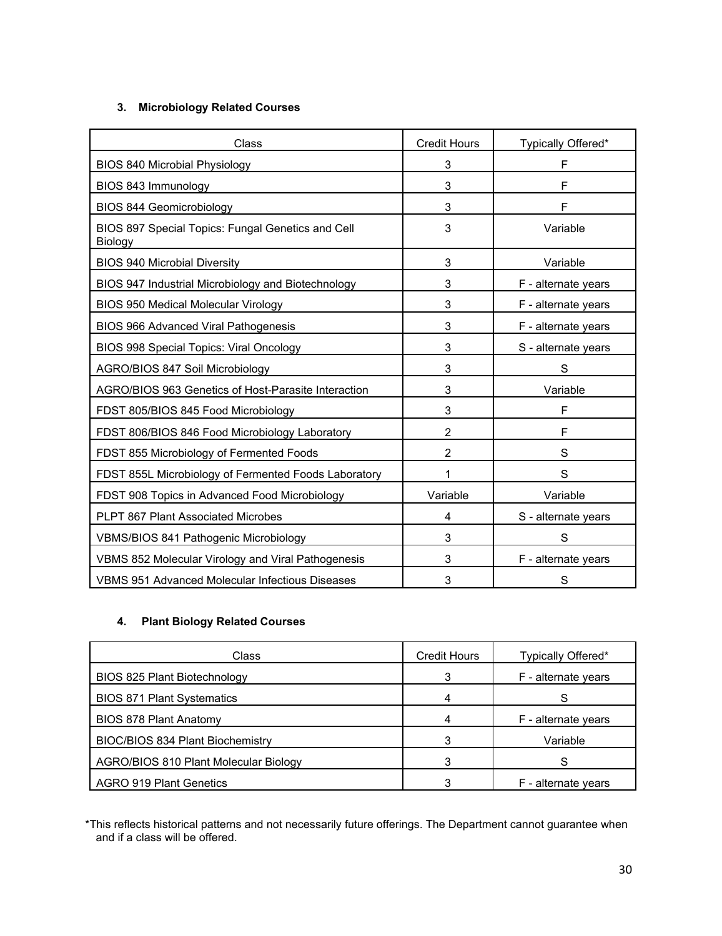## **3. Microbiology Related Courses**

| Class                                                        | <b>Credit Hours</b> | Typically Offered*  |
|--------------------------------------------------------------|---------------------|---------------------|
| <b>BIOS 840 Microbial Physiology</b>                         | 3                   | F                   |
| BIOS 843 Immunology                                          | 3                   | F                   |
| <b>BIOS 844 Geomicrobiology</b>                              | 3                   | F                   |
| BIOS 897 Special Topics: Fungal Genetics and Cell<br>Biology | 3                   | Variable            |
| <b>BIOS 940 Microbial Diversity</b>                          | 3                   | Variable            |
| BIOS 947 Industrial Microbiology and Biotechnology           | 3                   | F - alternate years |
| <b>BIOS 950 Medical Molecular Virology</b>                   | 3                   | F - alternate years |
| <b>BIOS 966 Advanced Viral Pathogenesis</b>                  | 3                   | F - alternate years |
| BIOS 998 Special Topics: Viral Oncology                      | 3                   | S - alternate years |
| AGRO/BIOS 847 Soil Microbiology                              | 3                   | S                   |
| AGRO/BIOS 963 Genetics of Host-Parasite Interaction          | 3                   | Variable            |
| FDST 805/BIOS 845 Food Microbiology                          | 3                   | F                   |
| FDST 806/BIOS 846 Food Microbiology Laboratory               | 2                   | F                   |
| FDST 855 Microbiology of Fermented Foods                     | $\overline{2}$      | S                   |
| FDST 855L Microbiology of Fermented Foods Laboratory         | 1                   | S                   |
| FDST 908 Topics in Advanced Food Microbiology                | Variable            | Variable            |
| <b>PLPT 867 Plant Associated Microbes</b>                    | 4                   | S - alternate years |
| <b>VBMS/BIOS 841 Pathogenic Microbiology</b>                 | 3                   | S                   |
| VBMS 852 Molecular Virology and Viral Pathogenesis           | 3                   | F - alternate years |
| <b>VBMS 951 Advanced Molecular Infectious Diseases</b>       | 3                   | S                   |

## **4. Plant Biology Related Courses**

| Class                                   | <b>Credit Hours</b> | Typically Offered*  |
|-----------------------------------------|---------------------|---------------------|
| BIOS 825 Plant Biotechnology            | 3                   | F - alternate years |
| <b>BIOS 871 Plant Systematics</b>       |                     |                     |
| <b>BIOS 878 Plant Anatomy</b>           |                     | F - alternate years |
| <b>BIOC/BIOS 834 Plant Biochemistry</b> | 3                   | Variable            |
| AGRO/BIOS 810 Plant Molecular Biology   |                     |                     |
| <b>AGRO 919 Plant Genetics</b>          | ົ                   | F - alternate years |

\*This reflects historical patterns and not necessarily future offerings. The Department cannot guarantee when and if a class will be offered.